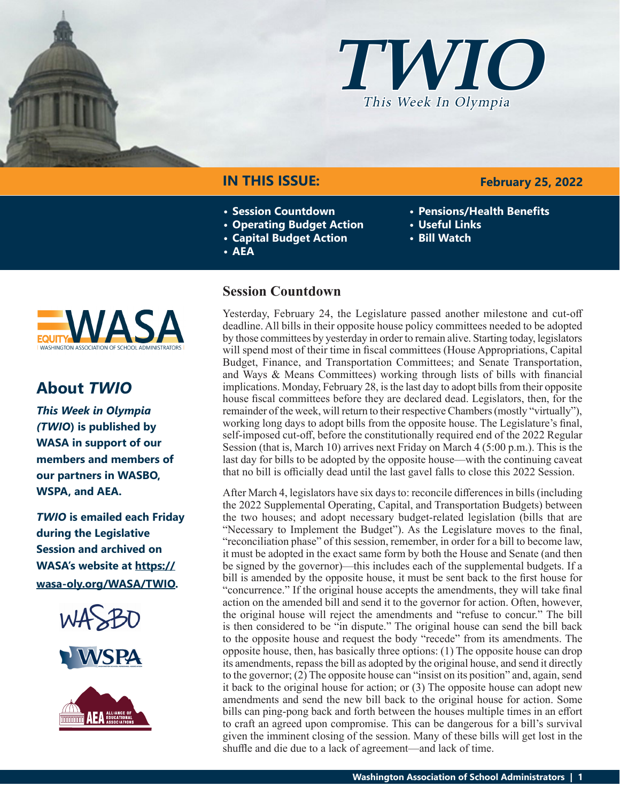



### **IN THIS ISSUE:**

- **• Session Countdown**
- **• Operating Budget Action**
- **• Capital Budget Action**
- **• AEA**

# **NAS**

### **About** *TWIO*

*This Week in Olympia (TWIO***) is published by WASA in support of our members and members of our partners in WASBO, WSPA, and AEA.**

*TWIO* **is emailed each Friday during the Legislative Session and archived on WASA's website at [https://](http://app.leg.wa.gov/billsummary?Year=2021&BillNumber=1803) [wasa-oly.org/WASA/TWIO](http://app.leg.wa.gov/billsummary?Year=2021&BillNumber=1803).** 





### **Session Countdown**

Yesterday, February 24, the Legislature passed another milestone and cut-off deadline. All bills in their opposite house policy committees needed to be adopted by those committees by yesterday in order to remain alive. Starting today, legislators will spend most of their time in fiscal committees (House Appropriations, Capital Budget, Finance, and Transportation Committees; and Senate Transportation, and Ways & Means Committees) working through lists of bills with financial implications. Monday, February 28, is the last day to adopt bills from their opposite house fiscal committees before they are declared dead. Legislators, then, for the remainder of the week, will return to their respective Chambers (mostly "virtually"), working long days to adopt bills from the opposite house. The Legislature's final, self-imposed cut-off, before the constitutionally required end of the 2022 Regular Session (that is, March 10) arrives next Friday on March 4 (5:00 p.m.). This is the last day for bills to be adopted by the opposite house—with the continuing caveat that no bill is officially dead until the last gavel falls to close this 2022 Session.

After March 4, legislators have six days to: reconcile differences in bills (including the 2022 Supplemental Operating, Capital, and Transportation Budgets) between the two houses; and adopt necessary budget-related legislation (bills that are "Necessary to Implement the Budget"). As the Legislature moves to the final, "reconciliation phase" of this session, remember, in order for a bill to become law, it must be adopted in the exact same form by both the House and Senate (and then be signed by the governor)—this includes each of the supplemental budgets. If a bill is amended by the opposite house, it must be sent back to the first house for "concurrence." If the original house accepts the amendments, they will take final action on the amended bill and send it to the governor for action. Often, however, the original house will reject the amendments and "refuse to concur." The bill is then considered to be "in dispute." The original house can send the bill back to the opposite house and request the body "recede" from its amendments. The opposite house, then, has basically three options: (1) The opposite house can drop its amendments, repass the bill as adopted by the original house, and send it directly to the governor; (2) The opposite house can "insist on its position" and, again, send it back to the original house for action; or (3) The opposite house can adopt new amendments and send the new bill back to the original house for action. Some bills can ping-pong back and forth between the houses multiple times in an effort to craft an agreed upon compromise. This can be dangerous for a bill's survival given the imminent closing of the session. Many of these bills will get lost in the shuffle and die due to a lack of agreement—and lack of time.

### **February 25, 2022**

- **• Pensions/Health Benefits**
- **• Useful Links**
- **• Bill Watch**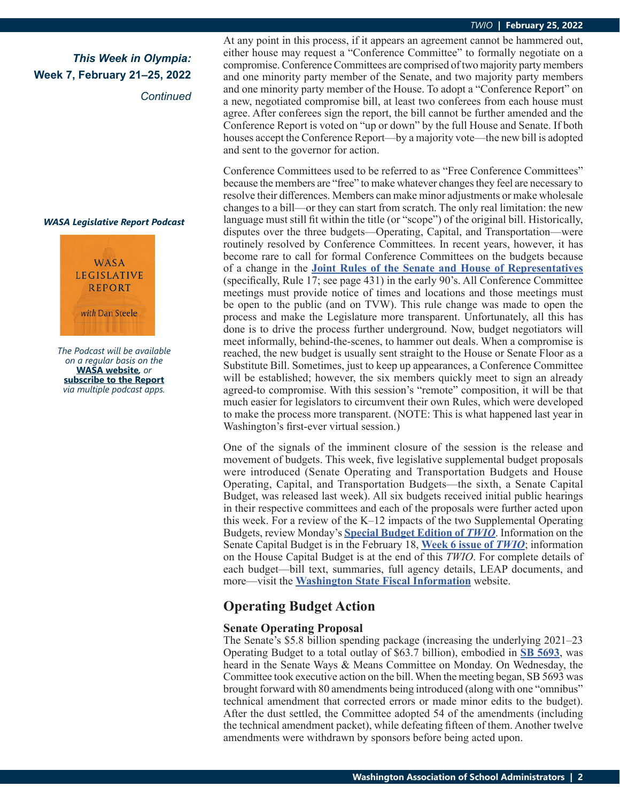### *This Week in Olympia:* **Week 7, February 21–25, 2022**

*Continued*

#### *WASA Legislative Report Podcast*



*The Podcast will be available on a regular basis on the*  **[WASA website](http://app.leg.wa.gov/billsummary?Year=2021&BillNumber=1630)***, or* **[subscribe to the Report](http://app.leg.wa.gov/billsummary?Year=2021&BillNumber=1629)** *via multiple podcast apps.*

At any point in this process, if it appears an agreement cannot be hammered out, either house may request a "Conference Committee" to formally negotiate on a compromise. Conference Committees are comprised of two majority party members and one minority party member of the Senate, and two majority party members and one minority party member of the House. To adopt a "Conference Report" on a new, negotiated compromise bill, at least two conferees from each house must agree. After conferees sign the report, the bill cannot be further amended and the Conference Report is voted on "up or down" by the full House and Senate. If both houses accept the Conference Report—by a majority vote—the new bill is adopted and sent to the governor for action.

Conference Committees used to be referred to as "Free Conference Committees" because the members are "free" to make whatever changes they feel are necessary to resolve their differences. Members can make minor adjustments or make wholesale changes to a bill—or they can start from scratch. The only real limitation: the new language must still fit within the title (or "scope") of the original bill. Historically, disputes over the three budgets—Operating, Capital, and Transportation—were routinely resolved by Conference Committees. In recent years, however, it has become rare to call for formal Conference Committees on the budgets because of a change in the **[Joint Rules of the Senate and House of Representatives](https://leg.wa.gov/LIC/Documents/Historical/Legislative Manuals/Legislative Manual - Red Book 2021_ONLINE.pdf)** (specifically, Rule 17; see page 431) in the early 90's. All Conference Committee meetings must provide notice of times and locations and those meetings must be open to the public (and on TVW). This rule change was made to open the process and make the Legislature more transparent. Unfortunately, all this has done is to drive the process further underground. Now, budget negotiators will meet informally, behind-the-scenes, to hammer out deals. When a compromise is reached, the new budget is usually sent straight to the House or Senate Floor as a Substitute Bill. Sometimes, just to keep up appearances, a Conference Committee will be established; however, the six members quickly meet to sign an already agreed-to compromise. With this session's "remote" composition, it will be that much easier for legislators to circumvent their own Rules, which were developed to make the process more transparent. (NOTE: This is what happened last year in Washington's first-ever virtual session.)

One of the signals of the imminent closure of the session is the release and movement of budgets. This week, five legislative supplemental budget proposals were introduced (Senate Operating and Transportation Budgets and House Operating, Capital, and Transportation Budgets—the sixth, a Senate Capital Budget, was released last week). All six budgets received initial public hearings in their respective committees and each of the proposals were further acted upon this week. For a review of the K–12 impacts of the two Supplemental Operating Budgets, review Monday's **[Special Budget Edition of](https://wasa-oly.org/WASA/images/WASA/4.0 Government Relations/4.4.1 This Week In Olympia - TWIO/Download_Files/TWIO 2022/Special Edition-SenandHse 2022 Sup Budget Pros.pdf)** *TWIO*. Information on the Senate Capital Budget is in the February 18, **[Week 6 issue of](https://wasa-oly.org/WASA/images/WASA/4.0 Government Relations/4.4.1 This Week In Olympia - TWIO/Download_Files/TWIO 2022/Week 6.pdf)** *TWIO*; information on the House Capital Budget is at the end of this *TWIO*. For complete details of each budget—bill text, summaries, full agency details, LEAP documents, and more—visit the **[Washington State Fiscal Information](http://fiscal.wa.gov/default.aspx)** website.

### **Operating Budget Action**

### **Senate Operating Proposal**

The Senate's \$5.8 billion spending package (increasing the underlying 2021–23 Operating Budget to a total outlay of \$63.7 billion), embodied in **[SB 5693](https://app.leg.wa.gov/billsummary?BillNumber=5693&Initiative=false&Year=2021)**, was heard in the Senate Ways & Means Committee on Monday. On Wednesday, the Committee took executive action on the bill. When the meeting began, SB 5693 was brought forward with 80 amendments being introduced (along with one "omnibus" technical amendment that corrected errors or made minor edits to the budget). After the dust settled, the Committee adopted 54 of the amendments (including the technical amendment packet), while defeating fifteen of them. Another twelve amendments were withdrawn by sponsors before being acted upon.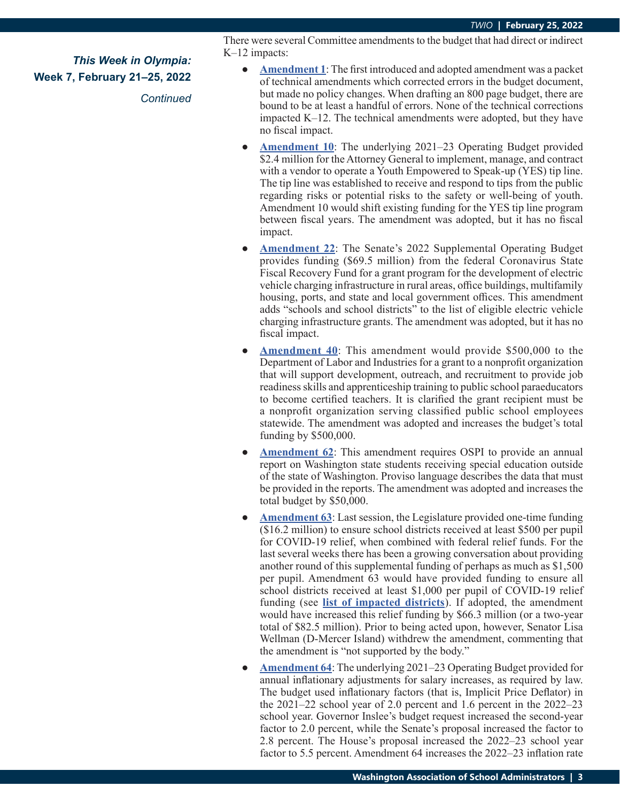*Continued*

There were several Committee amendments to the budget that had direct or indirect K–12 impacts:

- **● [Amendment 1](https://app.leg.wa.gov/committeeschedules/Home/Document/244451#toolbar=0&navpanes=0)**: The first introduced and adopted amendment was a packet of technical amendments which corrected errors in the budget document, but made no policy changes. When drafting an 800 page budget, there are bound to be at least a handful of errors. None of the technical corrections impacted K–12. The technical amendments were adopted, but they have no fiscal impact.
- **[Amendment 10](https://app.leg.wa.gov/committeeschedules/Home/Document/244192#toolbar=0&navpanes=0):** The underlying 2021–23 Operating Budget provided \$2.4 million for the Attorney General to implement, manage, and contract with a vendor to operate a Youth Empowered to Speak-up (YES) tip line. The tip line was established to receive and respond to tips from the public regarding risks or potential risks to the safety or well-being of youth. Amendment 10 would shift existing funding for the YES tip line program between fiscal years. The amendment was adopted, but it has no fiscal impact.
- **[Amendment 22](https://app.leg.wa.gov/committeeschedules/Home/Document/243970#toolbar=0&navpanes=0):** The Senate's 2022 Supplemental Operating Budget provides funding (\$69.5 million) from the federal Coronavirus State Fiscal Recovery Fund for a grant program for the development of electric vehicle charging infrastructure in rural areas, office buildings, multifamily housing, ports, and state and local government offices. This amendment adds "schools and school districts" to the list of eligible electric vehicle charging infrastructure grants. The amendment was adopted, but it has no fiscal impact.
- **[Amendment 40](https://app.leg.wa.gov/committeeschedules/Home/Document/244272#toolbar=0&navpanes=0)**: This amendment would provide \$500,000 to the Department of Labor and Industries for a grant to a nonprofit organization that will support development, outreach, and recruitment to provide job readiness skills and apprenticeship training to public school paraeducators to become certified teachers. It is clarified the grant recipient must be a nonprofit organization serving classified public school employees statewide. The amendment was adopted and increases the budget's total funding by \$500,000.
- **[Amendment 62](https://app.leg.wa.gov/committeeschedules/Home/Document/244278#toolbar=0&navpanes=0):** This amendment requires OSPI to provide an annual report on Washington state students receiving special education outside of the state of Washington. Proviso language describes the data that must be provided in the reports. The amendment was adopted and increases the total budget by \$50,000.
- **● [Amendment 63](https://app.leg.wa.gov/committeeschedules/Home/Document/244283#toolbar=0&navpanes=0)**: Last session, the Legislature provided one-time funding (\$16.2 million) to ensure school districts received at least \$500 per pupil for COVID-19 relief, when combined with federal relief funds. For the last several weeks there has been a growing conversation about providing another round of this supplemental funding of perhaps as much as \$1,500 per pupil. Amendment 63 would have provided funding to ensure all school districts received at least \$1,000 per pupil of COVID-19 relief funding (see **[list of impacted districts](https://wasa-oly.org/WASA/images/WASA/4.0%20Government%20Relations/4.4.1%20This%20Week%20In%20Olympia%20-%20TWIO/Download_Files/TWIO%202022/22%20ESSER%20Smoothing%20by%20district.pdf)**). If adopted, the amendment would have increased this relief funding by \$66.3 million (or a two-year total of \$82.5 million). Prior to being acted upon, however, Senator Lisa Wellman (D-Mercer Island) withdrew the amendment, commenting that the amendment is "not supported by the body."
- **● [Amendment 64](https://app.leg.wa.gov/committeeschedules/Home/Document/244370#toolbar=0&navpanes=0)**: The underlying 2021–23 Operating Budget provided for annual inflationary adjustments for salary increases, as required by law. The budget used inflationary factors (that is, Implicit Price Deflator) in the 2021–22 school year of 2.0 percent and 1.6 percent in the 2022–23 school year. Governor Inslee's budget request increased the second-year factor to 2.0 percent, while the Senate's proposal increased the factor to 2.8 percent. The House's proposal increased the 2022–23 school year factor to 5.5 percent. Amendment 64 increases the 2022–23 inflation rate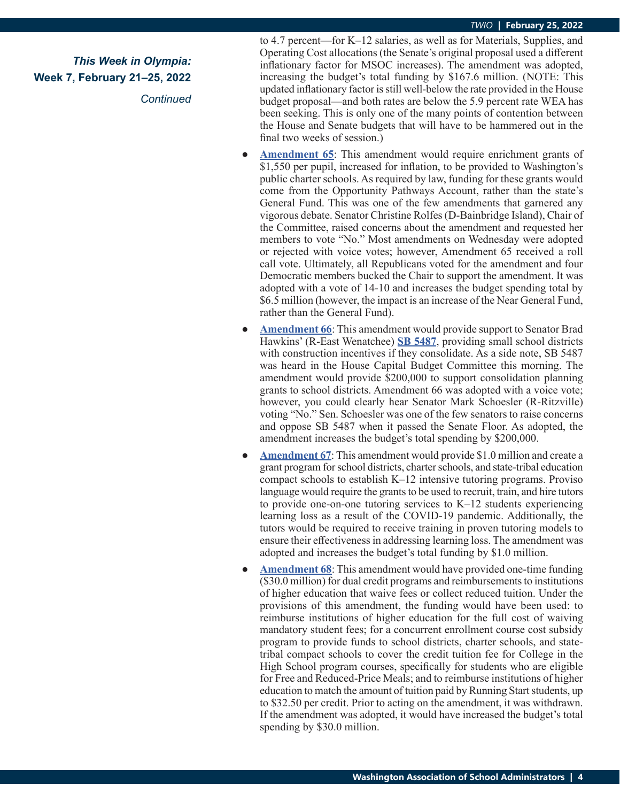*This Week in Olympia:* **Week 7, February 21–25, 2022** *Continued* to 4.7 percent—for K–12 salaries, as well as for Materials, Supplies, and Operating Cost allocations (the Senate's original proposal used a different inflationary factor for MSOC increases). The amendment was adopted, increasing the budget's total funding by \$167.6 million. (NOTE: This updated inflationary factor is still well-below the rate provided in the House budget proposal—and both rates are below the 5.9 percent rate WEA has been seeking. This is only one of the many points of contention between the House and Senate budgets that will have to be hammered out in the final two weeks of session.)

- **● [Amendment 65](https://app.leg.wa.gov/committeeschedules/Home/Document/244392#toolbar=0&navpanes=0)**: This amendment would require enrichment grants of \$1,550 per pupil, increased for inflation, to be provided to Washington's public charter schools. As required by law, funding for these grants would come from the Opportunity Pathways Account, rather than the state's General Fund. This was one of the few amendments that garnered any vigorous debate. Senator Christine Rolfes (D-Bainbridge Island), Chair of the Committee, raised concerns about the amendment and requested her members to vote "No." Most amendments on Wednesday were adopted or rejected with voice votes; however, Amendment 65 received a roll call vote. Ultimately, all Republicans voted for the amendment and four Democratic members bucked the Chair to support the amendment. It was adopted with a vote of 14-10 and increases the budget spending total by \$6.5 million (however, the impact is an increase of the Near General Fund, rather than the General Fund).
- **[Amendment 66](https://app.leg.wa.gov/committeeschedules/Home/Document/244284#toolbar=0&navpanes=0):** This amendment would provide support to Senator Brad Hawkins' (R-East Wenatchee) **[SB 5487](https://app.leg.wa.gov/billsummary?BillNumber=5487&Initiative=false&Year=2021)**, providing small school districts with construction incentives if they consolidate. As a side note, SB 5487 was heard in the House Capital Budget Committee this morning. The amendment would provide \$200,000 to support consolidation planning grants to school districts. Amendment 66 was adopted with a voice vote; however, you could clearly hear Senator Mark Schoesler (R-Ritzville) voting "No." Sen. Schoesler was one of the few senators to raise concerns and oppose SB 5487 when it passed the Senate Floor. As adopted, the amendment increases the budget's total spending by \$200,000.
- **<u>[Amendment 67](https://app.leg.wa.gov/committeeschedules/Home/Document/244285#toolbar=0&navpanes=0)</u>:** This amendment would provide \$1.0 million and create a grant program for school districts, charter schools, and state-tribal education compact schools to establish K–12 intensive tutoring programs. Proviso language would require the grants to be used to recruit, train, and hire tutors to provide one-on-one tutoring services to K–12 students experiencing learning loss as a result of the COVID-19 pandemic. Additionally, the tutors would be required to receive training in proven tutoring models to ensure their effectiveness in addressing learning loss. The amendment was adopted and increases the budget's total funding by \$1.0 million.
- **[Amendment 68](https://app.leg.wa.gov/committeeschedules/Home/Document/244374#toolbar=0&navpanes=0):** This amendment would have provided one-time funding (\$30.0 million) for dual credit programs and reimbursements to institutions of higher education that waive fees or collect reduced tuition. Under the provisions of this amendment, the funding would have been used: to reimburse institutions of higher education for the full cost of waiving mandatory student fees; for a concurrent enrollment course cost subsidy program to provide funds to school districts, charter schools, and statetribal compact schools to cover the credit tuition fee for College in the High School program courses, specifically for students who are eligible for Free and Reduced-Price Meals; and to reimburse institutions of higher education to match the amount of tuition paid by Running Start students, up to \$32.50 per credit. Prior to acting on the amendment, it was withdrawn. If the amendment was adopted, it would have increased the budget's total spending by \$30.0 million.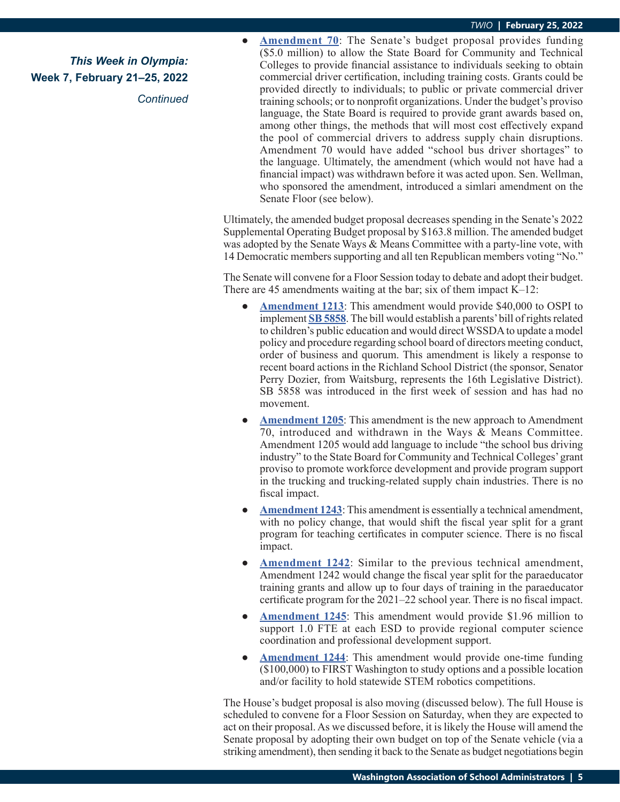*Continued*

**● [Amendment 70](https://app.leg.wa.gov/committeeschedules/Home/Document/244010#toolbar=0&navpanes=0)**: The Senate's budget proposal provides funding (\$5.0 million) to allow the State Board for Community and Technical Colleges to provide financial assistance to individuals seeking to obtain commercial driver certification, including training costs. Grants could be provided directly to individuals; to public or private commercial driver training schools; or to nonprofit organizations. Under the budget's proviso language, the State Board is required to provide grant awards based on, among other things, the methods that will most cost effectively expand the pool of commercial drivers to address supply chain disruptions. Amendment 70 would have added "school bus driver shortages" to the language. Ultimately, the amendment (which would not have had a financial impact) was withdrawn before it was acted upon. Sen. Wellman, who sponsored the amendment, introduced a simlari amendment on the Senate Floor (see below).

Ultimately, the amended budget proposal decreases spending in the Senate's 2022 Supplemental Operating Budget proposal by \$163.8 million. The amended budget was adopted by the Senate Ways & Means Committee with a party-line vote, with 14 Democratic members supporting and all ten Republican members voting "No."

The Senate will convene for a Floor Session today to debate and adopt their budget. There are 45 amendments waiting at the bar; six of them impact K–12:

- **● [Amendment 1213](https://lawfilesext.leg.wa.gov/biennium/2021-22/Pdf/Amendments/Senate/5693-S AMS DOZI S4971.1.pdf)**: This amendment would provide \$40,000 to OSPI to implement **[SB 5858](https://app.leg.wa.gov/billsummary?BillNumber=5858&Initiative=false&Year=2021)**. The bill would establish a parents' bill of rights related to children's public education and would direct WSSDA to update a model policy and procedure regarding school board of directors meeting conduct, order of business and quorum. This amendment is likely a response to recent board actions in the Richland School District (the sponsor, Senator Perry Dozier, from Waitsburg, represents the 16th Legislative District). SB 5858 was introduced in the first week of session and has had no movement.
- **[Amendment 1205](https://lawfilesext.leg.wa.gov/biennium/2021-22/Pdf/Amendments/Senate/5693-S AMS WELL S4957.1.pdf):** This amendment is the new approach to Amendment 70, introduced and withdrawn in the Ways & Means Committee. Amendment 1205 would add language to include "the school bus driving industry" to the State Board for Community and Technical Colleges' grant proviso to promote workforce development and provide program support in the trucking and trucking-related supply chain industries. There is no fiscal impact.
- **[Amendment 1243](https://lawfilesext.leg.wa.gov/biennium/2021-22/Pdf/Amendments/Senate/5693-S AMS WELL S4958.1.pdf):** This amendment is essentially a technical amendment, with no policy change, that would shift the fiscal year split for a grant program for teaching certificates in computer science. There is no fiscal impact.
- **● [Amendment 1242](https://lawfilesext.leg.wa.gov/biennium/2021-22/Pdf/Amendments/Senate/5693-S AMS WELL S4959.1.pdf)**: Similar to the previous technical amendment, Amendment 1242 would change the fiscal year split for the paraeducator training grants and allow up to four days of training in the paraeducator certificate program for the 2021–22 school year. There is no fiscal impact.
- **● [Amendment 1245](https://lawfilesext.leg.wa.gov/biennium/2021-22/Pdf/Amendments/Senate/5693-S AMS WELL S4960.1.pdf)**: This amendment would provide \$1.96 million to support 1.0 FTE at each ESD to provide regional computer science coordination and professional development support.
- **● [Amendment 1244](https://lawfilesext.leg.wa.gov/biennium/2021-22/Pdf/Amendments/Senate/5693-S AMS WELL S4961.1.pdf)**: This amendment would provide one-time funding (\$100,000) to FIRST Washington to study options and a possible location and/or facility to hold statewide STEM robotics competitions.

The House's budget proposal is also moving (discussed below). The full House is scheduled to convene for a Floor Session on Saturday, when they are expected to act on their proposal. As we discussed before, it is likely the House will amend the Senate proposal by adopting their own budget on top of the Senate vehicle (via a striking amendment), then sending it back to the Senate as budget negotiations begin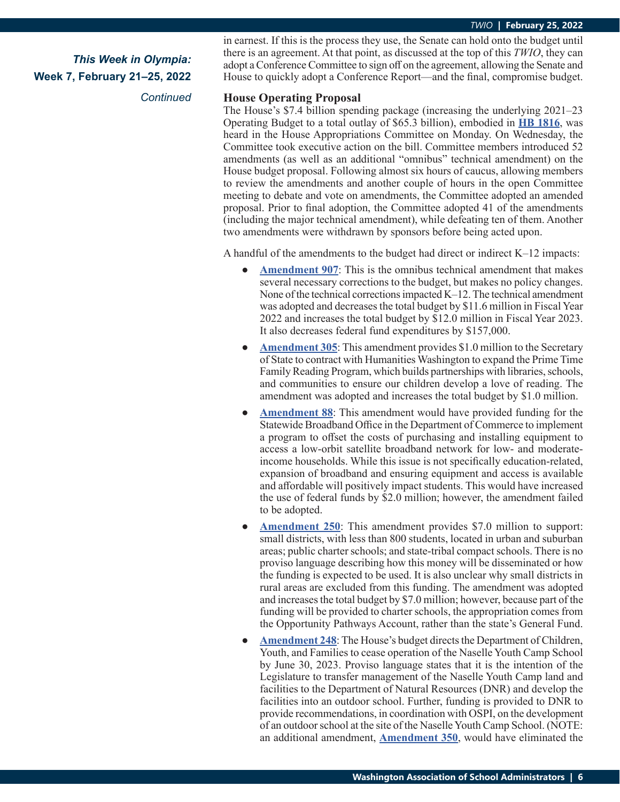*Continued*

in earnest. If this is the process they use, the Senate can hold onto the budget until there is an agreement. At that point, as discussed at the top of this *TWIO*, they can adopt a Conference Committee to sign off on the agreement, allowing the Senate and House to quickly adopt a Conference Report—and the final, compromise budget.

#### **House Operating Proposal**

The House's \$7.4 billion spending package (increasing the underlying 2021–23 Operating Budget to a total outlay of \$65.3 billion), embodied in **[HB 1816](https://app.leg.wa.gov/billsummary?BillNumber=1816&Initiative=false&Year=2021)**, was heard in the House Appropriations Committee on Monday. On Wednesday, the Committee took executive action on the bill. Committee members introduced 52 amendments (as well as an additional "omnibus" technical amendment) on the House budget proposal. Following almost six hours of caucus, allowing members to review the amendments and another couple of hours in the open Committee meeting to debate and vote on amendments, the Committee adopted an amended proposal. Prior to final adoption, the Committee adopted 41 of the amendments (including the major technical amendment), while defeating ten of them. Another two amendments were withdrawn by sponsors before being acted upon.

A handful of the amendments to the budget had direct or indirect  $K-12$  impacts:

- **[Amendment 907](https://app.leg.wa.gov/committeeschedules/Home/Document/244896#toolbar=0&navpanes=0):** This is the omnibus technical amendment that makes several necessary corrections to the budget, but makes no policy changes. None of the technical corrections impacted K–12. The technical amendment was adopted and decreases the total budget by \$11.6 million in Fiscal Year 2022 and increases the total budget by \$12.0 million in Fiscal Year 2023. It also decreases federal fund expenditures by \$157,000.
- **● [Amendment 305](https://app.leg.wa.gov/committeeschedules/Home/Document/244848#toolbar=0&navpanes=0)**: This amendment provides \$1.0 million to the Secretary of State to contract with Humanities Washington to expand the Prime Time Family Reading Program, which builds partnerships with libraries, schools, and communities to ensure our children develop a love of reading. The amendment was adopted and increases the total budget by \$1.0 million.
- **[Amendment 88](https://app.leg.wa.gov/committeeschedules/Home/Document/244856#toolbar=0&navpanes=0)**: This amendment would have provided funding for the Statewide Broadband Office in the Department of Commerce to implement a program to offset the costs of purchasing and installing equipment to access a low-orbit satellite broadband network for low- and moderateincome households. While this issue is not specifically education-related, expansion of broadband and ensuring equipment and access is available and affordable will positively impact students. This would have increased the use of federal funds by \$2.0 million; however, the amendment failed to be adopted.
- **[Amendment 250](https://app.leg.wa.gov/committeeschedules/Home/Document/244886#toolbar=0&navpanes=0):** This amendment provides \$7.0 million to support: small districts, with less than 800 students, located in urban and suburban areas; public charter schools; and state-tribal compact schools. There is no proviso language describing how this money will be disseminated or how the funding is expected to be used. It is also unclear why small districts in rural areas are excluded from this funding. The amendment was adopted and increases the total budget by \$7.0 million; however, because part of the funding will be provided to charter schools, the appropriation comes from the Opportunity Pathways Account, rather than the state's General Fund.
- [Amendment 248](https://app.leg.wa.gov/committeeschedules/Home/Document/244887#toolbar=0&navpanes=0): The House's budget directs the Department of Children, Youth, and Families to cease operation of the Naselle Youth Camp School by June 30, 2023. Proviso language states that it is the intention of the Legislature to transfer management of the Naselle Youth Camp land and facilities to the Department of Natural Resources (DNR) and develop the facilities into an outdoor school. Further, funding is provided to DNR to provide recommendations, in coordination with OSPI, on the development of an outdoor school at the site of the Naselle Youth Camp School. (NOTE: an additional amendment, **[Amendment 350](https://app.leg.wa.gov/committeeschedules/Home/Document/244874#toolbar=0&navpanes=0)**, would have eliminated the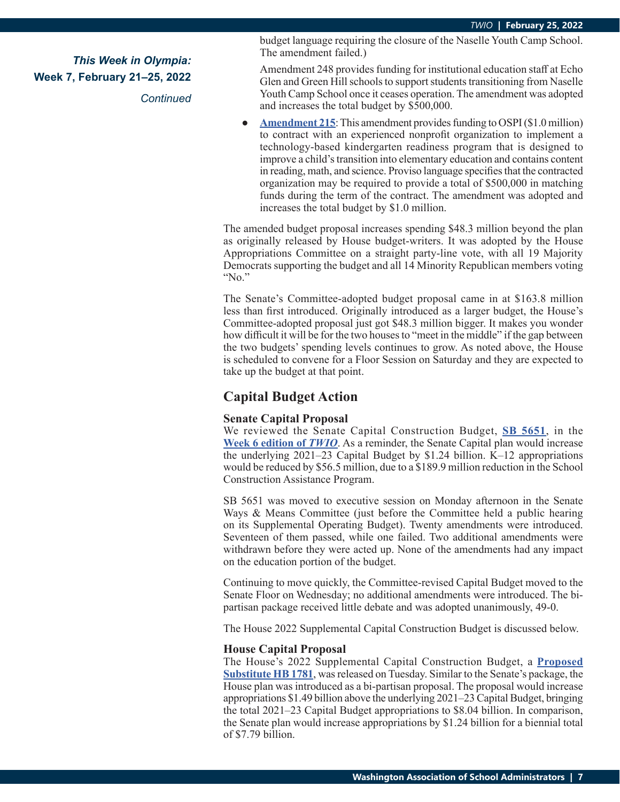*Continued*

budget language requiring the closure of the Naselle Youth Camp School. The amendment failed.)

Amendment 248 provides funding for institutional education staff at Echo Glen and Green Hill schools to support students transitioning from Naselle Youth Camp School once it ceases operation. The amendment was adopted and increases the total budget by \$500,000.

**● [Amendment 215](https://app.leg.wa.gov/committeeschedules/Home/Document/244888#toolbar=0&navpanes=0)**: This amendment provides funding to OSPI (\$1.0 million) to contract with an experienced nonprofit organization to implement a technology-based kindergarten readiness program that is designed to improve a child's transition into elementary education and contains content in reading, math, and science. Proviso language specifies that the contracted organization may be required to provide a total of \$500,000 in matching funds during the term of the contract. The amendment was adopted and increases the total budget by \$1.0 million.

The amended budget proposal increases spending \$48.3 million beyond the plan as originally released by House budget-writers. It was adopted by the House Appropriations Committee on a straight party-line vote, with all 19 Majority Democrats supporting the budget and all 14 Minority Republican members voting "No."

The Senate's Committee-adopted budget proposal came in at \$163.8 million less than first introduced. Originally introduced as a larger budget, the House's Committee-adopted proposal just got \$48.3 million bigger. It makes you wonder how difficult it will be for the two houses to "meet in the middle" if the gap between the two budgets' spending levels continues to grow. As noted above, the House is scheduled to convene for a Floor Session on Saturday and they are expected to take up the budget at that point.

### **Capital Budget Action**

### **Senate Capital Proposal**

We reviewed the Senate Capital Construction Budget, **[SB 5651](https://app.leg.wa.gov/billsummary?BillNumber=5651&Initiative=false&Year=2021)**, in the **[Week 6 edition of](https://wasa-oly.org/WASA/images/WASA/4.0 Government Relations/4.4.1 This Week In Olympia - TWIO/Download_Files/TWIO 2022/Week 6.pdf)** *TWIO*. As a reminder, the Senate Capital plan would increase the underlying 2021–23 Capital Budget by \$1.24 billion. K–12 appropriations would be reduced by \$56.5 million, due to a \$189.9 million reduction in the School Construction Assistance Program.

SB 5651 was moved to executive session on Monday afternoon in the Senate Ways & Means Committee (just before the Committee held a public hearing on its Supplemental Operating Budget). Twenty amendments were introduced. Seventeen of them passed, while one failed. Two additional amendments were withdrawn before they were acted up. None of the amendments had any impact on the education portion of the budget.

Continuing to move quickly, the Committee-revised Capital Budget moved to the Senate Floor on Wednesday; no additional amendments were introduced. The bipartisan package received little debate and was adopted unanimously, 49-0.

The House 2022 Supplemental Capital Construction Budget is discussed below.

#### **House Capital Proposal**

The House's 2022 Supplemental Capital Construction Budget, a **[Proposed](http://leap.leg.wa.gov/leap/budget/detail/2022/hc2022Supp.asp) [Substitute HB 1781](http://leap.leg.wa.gov/leap/budget/detail/2022/hc2022Supp.asp)**, was released on Tuesday. Similar to the Senate's package, the House plan was introduced as a bi-partisan proposal. The proposal would increase appropriations \$1.49 billion above the underlying 2021–23 Capital Budget, bringing the total 2021–23 Capital Budget appropriations to \$8.04 billion. In comparison, the Senate plan would increase appropriations by \$1.24 billion for a biennial total of \$7.79 billion.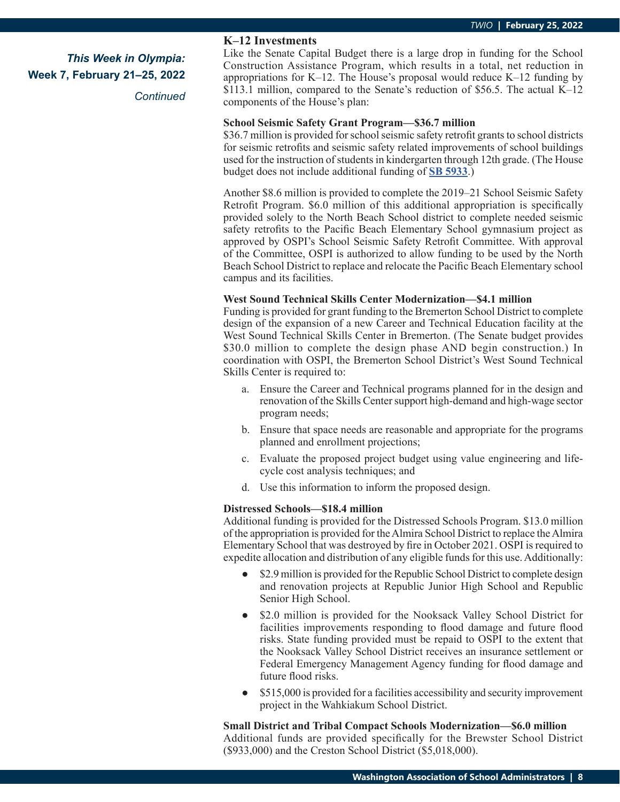*Continued*

### **K–12 Investments**

Like the Senate Capital Budget there is a large drop in funding for the School Construction Assistance Program, which results in a total, net reduction in appropriations for K–12. The House's proposal would reduce K–12 funding by \$113.1 million, compared to the Senate's reduction of \$56.5. The actual K–12 components of the House's plan:

### **School Seismic Safety Grant Program—\$36.7 million**

\$36.7 million is provided for school seismic safety retrofit grants to school districts for seismic retrofits and seismic safety related improvements of school buildings used for the instruction of students in kindergarten through 12th grade. (The House budget does not include additional funding of **[SB 5933](https://app.leg.wa.gov/billsummary?BillNumber=5933&Initiative=false&Year=2021)**.)

Another \$8.6 million is provided to complete the 2019–21 School Seismic Safety Retrofit Program. \$6.0 million of this additional appropriation is specifically provided solely to the North Beach School district to complete needed seismic safety retrofits to the Pacific Beach Elementary School gymnasium project as approved by OSPI's School Seismic Safety Retrofit Committee. With approval of the Committee, OSPI is authorized to allow funding to be used by the North Beach School District to replace and relocate the Pacific Beach Elementary school campus and its facilities.

#### **West Sound Technical Skills Center Modernization—\$4.1 million**

Funding is provided for grant funding to the Bremerton School District to complete design of the expansion of a new Career and Technical Education facility at the West Sound Technical Skills Center in Bremerton. (The Senate budget provides \$30.0 million to complete the design phase AND begin construction.) In coordination with OSPI, the Bremerton School District's West Sound Technical Skills Center is required to:

- a. Ensure the Career and Technical programs planned for in the design and renovation of the Skills Center support high-demand and high-wage sector program needs;
- b. Ensure that space needs are reasonable and appropriate for the programs planned and enrollment projections;
- c. Evaluate the proposed project budget using value engineering and lifecycle cost analysis techniques; and
- d. Use this information to inform the proposed design.

### **Distressed Schools—\$18.4 million**

Additional funding is provided for the Distressed Schools Program. \$13.0 million of the appropriation is provided for the Almira School District to replace the Almira Elementary School that was destroyed by fire in October 2021. OSPI is required to expedite allocation and distribution of any eligible funds for this use. Additionally:

- **●** \$2.9 million is provided for the Republic School District to complete design and renovation projects at Republic Junior High School and Republic Senior High School.
- **●** \$2.0 million is provided for the Nooksack Valley School District for facilities improvements responding to flood damage and future flood risks. State funding provided must be repaid to OSPI to the extent that the Nooksack Valley School District receives an insurance settlement or Federal Emergency Management Agency funding for flood damage and future flood risks.
- \$515,000 is provided for a facilities accessibility and security improvement project in the Wahkiakum School District.

#### **Small District and Tribal Compact Schools Modernization—\$6.0 million**

Additional funds are provided specifically for the Brewster School District (\$933,000) and the Creston School District (\$5,018,000).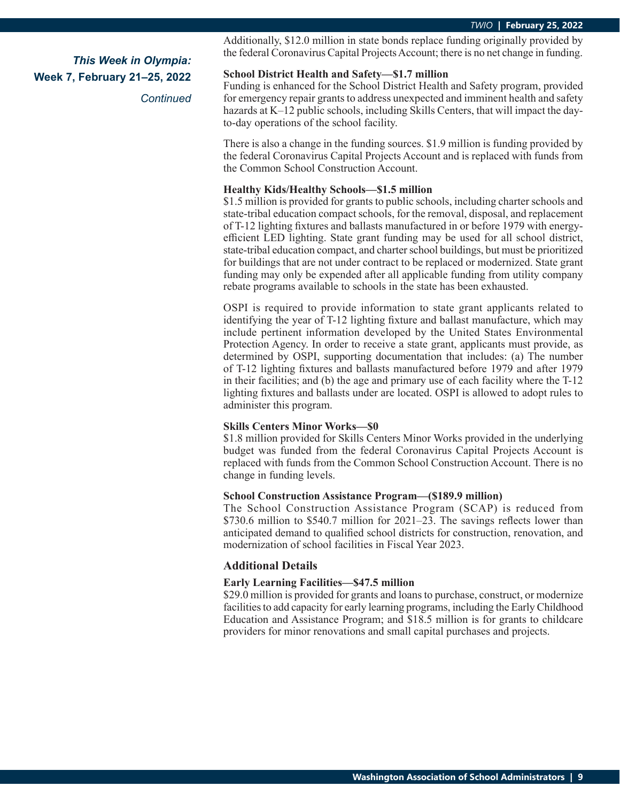*Continued*

Additionally, \$12.0 million in state bonds replace funding originally provided by the federal Coronavirus Capital Projects Account; there is no net change in funding.

### **School District Health and Safety—\$1.7 million**

Funding is enhanced for the School District Health and Safety program, provided for emergency repair grants to address unexpected and imminent health and safety hazards at K–12 public schools, including Skills Centers, that will impact the dayto-day operations of the school facility.

There is also a change in the funding sources. \$1.9 million is funding provided by the federal Coronavirus Capital Projects Account and is replaced with funds from the Common School Construction Account.

### **Healthy Kids/Healthy Schools—\$1.5 million**

\$1.5 million is provided for grants to public schools, including charter schools and state-tribal education compact schools, for the removal, disposal, and replacement of T-12 lighting fixtures and ballasts manufactured in or before 1979 with energyefficient LED lighting. State grant funding may be used for all school district, state-tribal education compact, and charter school buildings, but must be prioritized for buildings that are not under contract to be replaced or modernized. State grant funding may only be expended after all applicable funding from utility company rebate programs available to schools in the state has been exhausted.

OSPI is required to provide information to state grant applicants related to identifying the year of T-12 lighting fixture and ballast manufacture, which may include pertinent information developed by the United States Environmental Protection Agency. In order to receive a state grant, applicants must provide, as determined by OSPI, supporting documentation that includes: (a) The number of T-12 lighting fixtures and ballasts manufactured before 1979 and after 1979 in their facilities; and (b) the age and primary use of each facility where the T-12 lighting fixtures and ballasts under are located. OSPI is allowed to adopt rules to administer this program.

### **Skills Centers Minor Works—\$0**

\$1.8 million provided for Skills Centers Minor Works provided in the underlying budget was funded from the federal Coronavirus Capital Projects Account is replaced with funds from the Common School Construction Account. There is no change in funding levels.

### **School Construction Assistance Program—(\$189.9 million)**

The School Construction Assistance Program (SCAP) is reduced from \$730.6 million to \$540.7 million for 2021–23. The savings reflects lower than anticipated demand to qualified school districts for construction, renovation, and modernization of school facilities in Fiscal Year 2023.

### **Additional Details**

### **Early Learning Facilities—\$47.5 million**

\$29.0 million is provided for grants and loans to purchase, construct, or modernize facilities to add capacity for early learning programs, including the Early Childhood Education and Assistance Program; and \$18.5 million is for grants to childcare providers for minor renovations and small capital purchases and projects.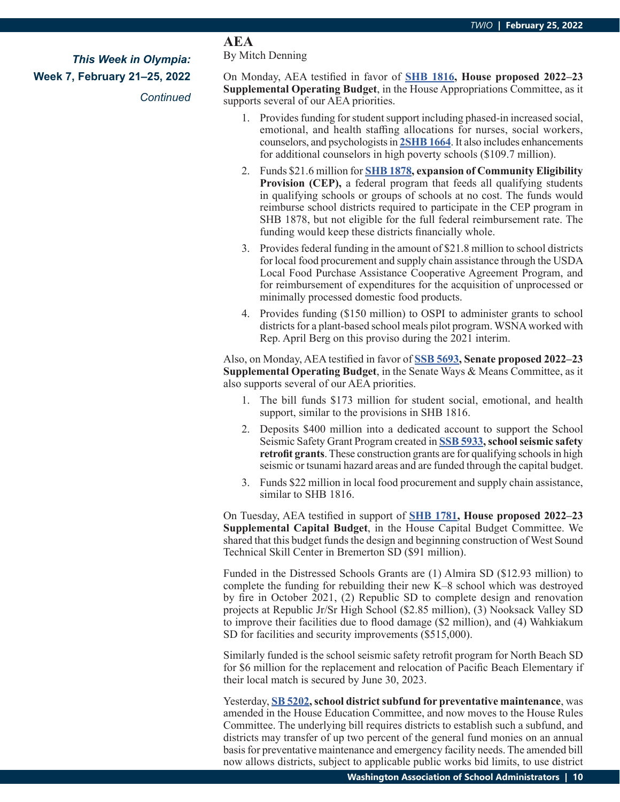### *Continued*

### **AEA**

By Mitch Denning

On Monday, AEA testified in favor of **[SHB 1816,](https://app.leg.wa.gov/billsummary?BillNumber=1816&Initiative=false&Year=2021) House proposed 2022–23 Supplemental Operating Budget**, in the House Appropriations Committee, as it supports several of our AEA priorities.

- 1. Provides funding for student support including phased-in increased social, emotional, and health staffing allocations for nurses, social workers, counselors, and psychologists in **[2SHB 1664](https://app.leg.wa.gov/billsummary?BillNumber=1614&Initiative=false&Year=2021)**. It also includes enhancements for additional counselors in high poverty schools (\$109.7 million).
- 2. Funds \$21.6 million for **[SHB 1878,](https://app.leg.wa.gov/billsummary?BillNumber=1878&Initiative=false&Year=2021) expansion of Community Eligibility Provision (CEP),** a federal program that feeds all qualifying students in qualifying schools or groups of schools at no cost. The funds would reimburse school districts required to participate in the CEP program in SHB 1878, but not eligible for the full federal reimbursement rate. The funding would keep these districts financially whole.
- 3. Provides federal funding in the amount of \$21.8 million to school districts for local food procurement and supply chain assistance through the USDA Local Food Purchase Assistance Cooperative Agreement Program, and for reimbursement of expenditures for the acquisition of unprocessed or minimally processed domestic food products.
- 4. Provides funding (\$150 million) to OSPI to administer grants to school districts for a plant-based school meals pilot program. WSNA worked with Rep. April Berg on this proviso during the 2021 interim.

Also, on Monday, AEA testified in favor of **[SSB 5693](https://app.leg.wa.gov/billsummary?BillNumber=5693&Initiative=false&Year=2021), Senate proposed 2022–23 Supplemental Operating Budget**, in the Senate Ways & Means Committee, as it also supports several of our AEA priorities.

- 1. The bill funds \$173 million for student social, emotional, and health support, similar to the provisions in SHB 1816.
- 2. Deposits \$400 million into a dedicated account to support the School Seismic Safety Grant Program created in **[SSB 5933](https://app.leg.wa.gov/billsummary?BillNumber=5933&Initiative=false&Year=2021), school seismic safety retrofit grants**. These construction grants are for qualifying schools in high seismic or tsunami hazard areas and are funded through the capital budget.
- 3. Funds \$22 million in local food procurement and supply chain assistance, similar to SHB 1816.

On Tuesday, AEA testified in support of **[SHB 1781,](https://app.leg.wa.gov/billsummary?BillNumber=1781&Initiative=false&Year=2021) House proposed 2022–23 Supplemental Capital Budget**, in the House Capital Budget Committee. We shared that this budget funds the design and beginning construction of West Sound Technical Skill Center in Bremerton SD (\$91 million).

Funded in the Distressed Schools Grants are (1) Almira SD (\$12.93 million) to complete the funding for rebuilding their new K–8 school which was destroyed by fire in October 2021, (2) Republic SD to complete design and renovation projects at Republic Jr/Sr High School (\$2.85 million), (3) Nooksack Valley SD to improve their facilities due to flood damage (\$2 million), and (4) Wahkiakum SD for facilities and security improvements (\$515,000).

Similarly funded is the school seismic safety retrofit program for North Beach SD for \$6 million for the replacement and relocation of Pacific Beach Elementary if their local match is secured by June 30, 2023.

Yesterday, **[SB 5202,](https://app.leg.wa.gov/billsummary?BillNumber=5202&Initiative=false&Year=2021) school district subfund for preventative maintenance**, was amended in the House Education Committee, and now moves to the House Rules Committee. The underlying bill requires districts to establish such a subfund, and districts may transfer of up two percent of the general fund monies on an annual basis for preventative maintenance and emergency facility needs. The amended bill now allows districts, subject to applicable public works bid limits, to use district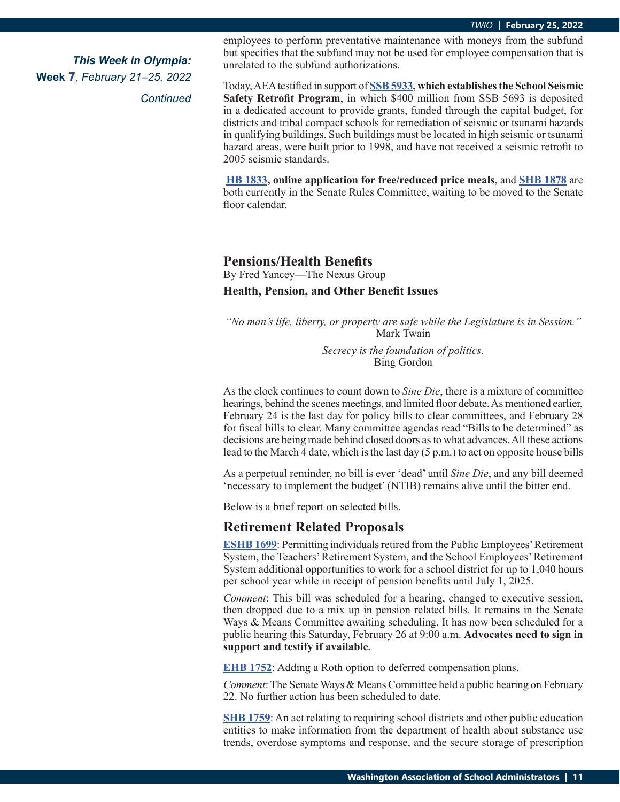*Continued*

employees to perform preventative maintenance with moneys from the subfund but specifies that the subfund may not be used for employee compensation that is unrelated to the subfund authorizations.

Today, AEA testified in support of **[SSB 5933,](https://app.leg.wa.gov/billsummary?BillNumber=5933&Initiative=false&Year=2021) which establishes the School Seismic Safety Retrofit Program**, in which \$400 million from SSB 5693 is deposited in a dedicated account to provide grants, funded through the capital budget, for districts and tribal compact schools for remediation of seismic or tsunami hazards in qualifying buildings. Such buildings must be located in high seismic or tsunami hazard areas, were built prior to 1998, and have not received a seismic retrofit to 2005 seismic standards.

**[HB 1833](https://app.leg.wa.gov/billsummary?BillNumber=1833&Initiative=false&Year=2021), online application for free/reduced price meals**, and **[SHB 1878](https://app.leg.wa.gov/billsummary?BillNumber=1878&Initiative=false&Year=2021)** are both currently in the Senate Rules Committee, waiting to be moved to the Senate floor calendar.

### **Pensions/Health Benefits** By Fred Yancey—The Nexus Group **Health, Pension, and Other Benefit Issues**

*"No man's life, liberty, or property are safe while the Legislature is in Session."* Mark Twain

> *Secrecy is the foundation of politics.* Bing Gordon

As the clock continues to count down to *Sine Die*, there is a mixture of committee hearings, behind the scenes meetings, and limited floor debate. As mentioned earlier, February 24 is the last day for policy bills to clear committees, and February 28 for fiscal bills to clear. Many committee agendas read "Bills to be determined" as decisions are being made behind closed doors as to what advances. All these actions lead to the March 4 date, which is the last day (5 p.m.) to act on opposite house bills

As a perpetual reminder, no bill is ever 'dead' until *Sine Die*, and any bill deemed 'necessary to implement the budget' (NTIB) remains alive until the bitter end.

Below is a brief report on selected bills.

### **Retirement Related Proposals**

**E[SHB 1699](https://app.leg.wa.gov/billsummary?BillNumber=1699&Initiative=false&Year=2021)**: Permitting individuals retired from the Public Employees' Retirement System, the Teachers' Retirement System, and the School Employees' Retirement System additional opportunities to work for a school district for up to 1,040 hours per school year while in receipt of pension benefits until July 1, 2025.

*Comment*: This bill was scheduled for a hearing, changed to executive session, then dropped due to a mix up in pension related bills. It remains in the Senate Ways & Means Committee awaiting scheduling. It has now been scheduled for a public hearing this Saturday, February 26 at 9:00 a.m. **Advocates need to sign in support and testify if available.**

**[EHB 1752](https://app.leg.wa.gov/billsummary?BillNumber=1752&Initiative=false&Year=2021)**: Adding a Roth option to deferred compensation plans.

*Comment*: The Senate Ways & Means Committee held a public hearing on February 22. No further action has been scheduled to date.

**[SHB 1759](https://app.leg.wa.gov/billsummary?BillNumber=1759&Year=2021&Initiative=false)**: An act relating to requiring school districts and other public education entities to make information from the department of health about substance use trends, overdose symptoms and response, and the secure storage of prescription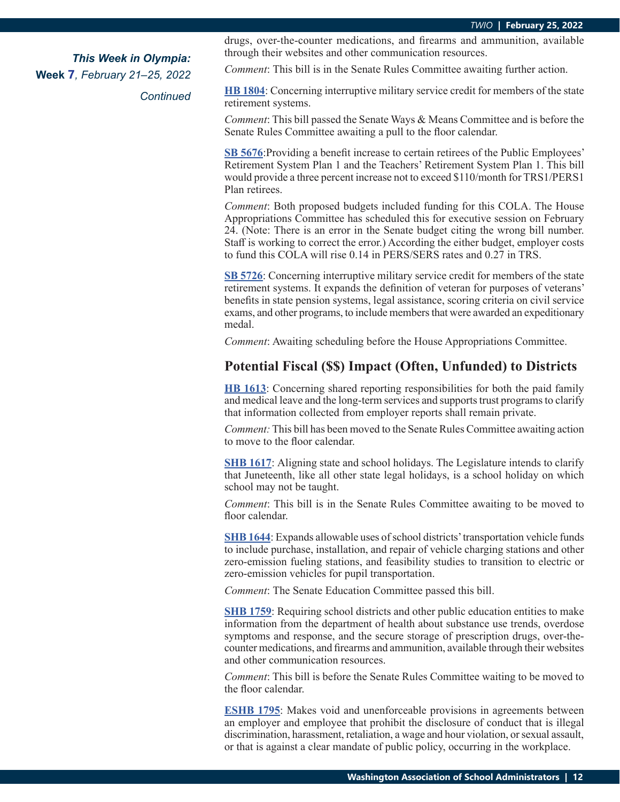*Continued*

drugs, over-the-counter medications, and firearms and ammunition, available through their websites and other communication resources.

*Comment*: This bill is in the Senate Rules Committee awaiting further action.

**[HB 1804](https://app.leg.wa.gov/billsummary?BillNumber=1804&Year=2021&Initiative=false)**: Concerning interruptive military service credit for members of the state retirement systems.

*Comment*: This bill passed the Senate Ways & Means Committee and is before the Senate Rules Committee awaiting a pull to the floor calendar.

**[SB 5676](https://app.leg.wa.gov/billsummary?BillNumber=5676&Initiative=false&Year=2021)**:Providing a benefit increase to certain retirees of the Public Employees' Retirement System Plan 1 and the Teachers' Retirement System Plan 1. This bill would provide a three percent increase not to exceed \$110/month for TRS1/PERS1 Plan retirees.

*Comment*: Both proposed budgets included funding for this COLA. The House Appropriations Committee has scheduled this for executive session on February 24. (Note: There is an error in the Senate budget citing the wrong bill number. Staff is working to correct the error.) According the either budget, employer costs to fund this COLA will rise 0.14 in PERS/SERS rates and 0.27 in TRS.

**[SB 5726](https://app.leg.wa.gov/billsummary?BillNumber=5726&Initiative=false&Year=2021)**: Concerning interruptive military service credit for members of the state retirement systems. It expands the definition of veteran for purposes of veterans' benefits in state pension systems, legal assistance, scoring criteria on civil service exams, and other programs, to include members that were awarded an expeditionary medal.

*Comment*: Awaiting scheduling before the House Appropriations Committee.

### **Potential Fiscal (\$\$) Impact (Often, Unfunded) to Districts**

**[HB 1613](https://app.leg.wa.gov/billsummary?BillNumber=1613&Initiative=false&Year=2021)**: Concerning shared reporting responsibilities for both the paid family and medical leave and the long-term services and supports trust programs to clarify that information collected from employer reports shall remain private.

*Comment:* This bill has been moved to the Senate Rules Committee awaiting action to move to the floor calendar.

**S[HB 1617](https://app.leg.wa.gov/billsummary?BillNumber=1617&Initiative=false&Year=2021)**: Aligning state and school holidays. The Legislature intends to clarify that Juneteenth, like all other state legal holidays, is a school holiday on which school may not be taught.

*Comment*: This bill is in the Senate Rules Committee awaiting to be moved to floor calendar.

**[SHB 1644](https://app.leg.wa.gov/billsummary?BillNumber=1644&Initiative=false&Year=2021)**: Expands allowable uses of school districts' transportation vehicle funds to include purchase, installation, and repair of vehicle charging stations and other zero-emission fueling stations, and feasibility studies to transition to electric or zero-emission vehicles for pupil transportation.

*Comment*: The Senate Education Committee passed this bill.

**S[HB 1759](https://app.leg.wa.gov/billsummary?BillNumber=1759&Initiative=false&Year=2021)**: Requiring school districts and other public education entities to make information from the department of health about substance use trends, overdose symptoms and response, and the secure storage of prescription drugs, over-thecounter medications, and firearms and ammunition, available through their websites and other communication resources.

*Comment*: This bill is before the Senate Rules Committee waiting to be moved to the floor calendar.

**[ESHB 1795](https://app.leg.wa.gov/billsummary?BillNumber=1795&Initiative=false&Year=2021)**: Makes void and unenforceable provisions in agreements between an employer and employee that prohibit the disclosure of conduct that is illegal discrimination, harassment, retaliation, a wage and hour violation, or sexual assault, or that is against a clear mandate of public policy, occurring in the workplace.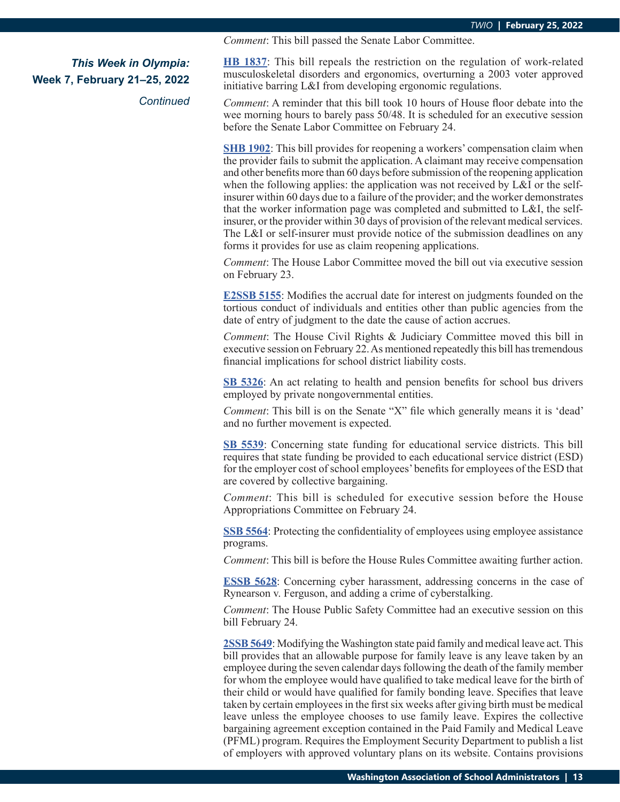*Comment*: This bill passed the Senate Labor Committee.

*This Week in Olympia:*

*Continued*

**Week 7, February 21–25, 2022**

**[HB 1837](https://app.leg.wa.gov/billsummary?BillNumber=1837&Initiative=false&Year=2021)**: This bill repeals the restriction on the regulation of work-related musculoskeletal disorders and ergonomics, overturning a 2003 voter approved initiative barring L&I from developing ergonomic regulations.

*Comment*: A reminder that this bill took 10 hours of House floor debate into the wee morning hours to barely pass 50/48. It is scheduled for an executive session before the Senate Labor Committee on February 24.

**[SHB 1902](https://app.leg.wa.gov/billsummary?BillNumber=1902&Initiative=false&Year=2021)**: This bill provides for reopening a workers' compensation claim when the provider fails to submit the application. A claimant may receive compensation and other benefits more than 60 days before submission of the reopening application when the following applies: the application was not received by L&I or the selfinsurer within 60 days due to a failure of the provider; and the worker demonstrates that the worker information page was completed and submitted to L&I, the selfinsurer, or the provider within 30 days of provision of the relevant medical services. The L&I or self-insurer must provide notice of the submission deadlines on any forms it provides for use as claim reopening applications.

*Comment*: The House Labor Committee moved the bill out via executive session on February 23.

**[E2SSB 5155](https://app.leg.wa.gov/billsummary?BillNumber=5155&Initiative=false&Year=2021)**: Modifies the accrual date for interest on judgments founded on the tortious conduct of individuals and entities other than public agencies from the date of entry of judgment to the date the cause of action accrues.

*Comment*: The House Civil Rights & Judiciary Committee moved this bill in executive session on February 22. As mentioned repeatedly this bill has tremendous financial implications for school district liability costs.

**[SB 5326](https://app.leg.wa.gov/billsummary?BillNumber=5326&Initiative=false&Year=2021)**: An act relating to health and pension benefits for school bus drivers employed by private nongovernmental entities.

*Comment*: This bill is on the Senate "X" file which generally means it is 'dead' and no further movement is expected.

**[SB 5539](https://app.leg.wa.gov/billsummary?BillNumber=5539&Initiative=false&Year=2021)**: Concerning state funding for educational service districts. This bill requires that state funding be provided to each educational service district (ESD) for the employer cost of school employees' benefits for employees of the ESD that are covered by collective bargaining.

*Comment*: This bill is scheduled for executive session before the House Appropriations Committee on February 24.

**[SSB 5564](https://app.leg.wa.gov/billsummary?BillNumber=5564&Initiative=false&Year=2021)**: Protecting the confidentiality of employees using employee assistance programs.

*Comment*: This bill is before the House Rules Committee awaiting further action.

**[ESSB 5628](https://app.leg.wa.gov/billsummary?BillNumber=5628&Initiative=false&Year=2021)**: Concerning cyber harassment, addressing concerns in the case of Rynearson v. Ferguson, and adding a crime of cyberstalking.

*Comment*: The House Public Safety Committee had an executive session on this bill February 24.

**[2SSB 5649](https://app.leg.wa.gov/billsummary?BillNumber=5649&Initiative=false&Year=2021)**: Modifying the Washington state paid family and medical leave act. This bill provides that an allowable purpose for family leave is any leave taken by an employee during the seven calendar days following the death of the family member for whom the employee would have qualified to take medical leave for the birth of their child or would have qualified for family bonding leave. Specifies that leave taken by certain employees in the first six weeks after giving birth must be medical leave unless the employee chooses to use family leave. Expires the collective bargaining agreement exception contained in the Paid Family and Medical Leave (PFML) program. Requires the Employment Security Department to publish a list of employers with approved voluntary plans on its website. Contains provisions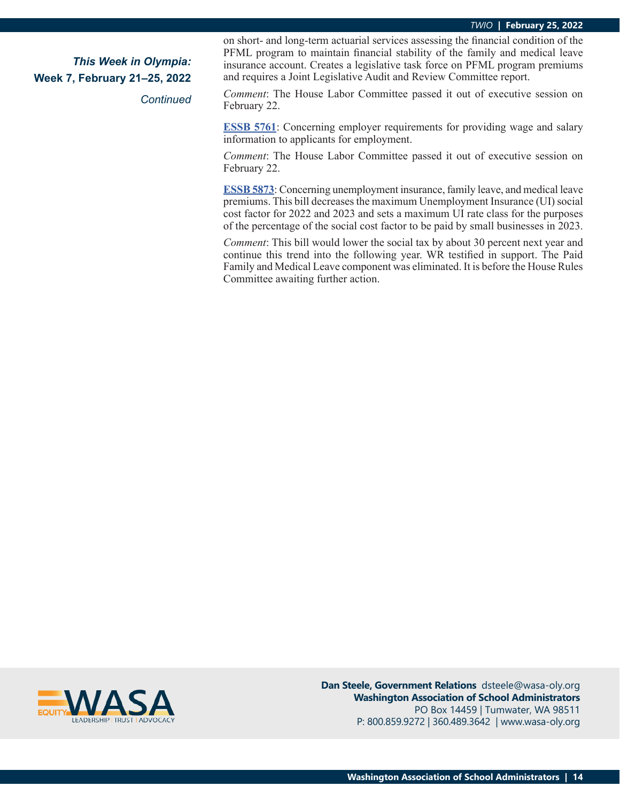*Continued*

on short- and long-term actuarial services assessing the financial condition of the PFML program to maintain financial stability of the family and medical leave insurance account. Creates a legislative task force on PFML program premiums and requires a Joint Legislative Audit and Review Committee report.

*Comment*: The House Labor Committee passed it out of executive session on February 22.

**[ESSB 5761](https://app.leg.wa.gov/billsummary?BillNumber=5761&Initiative=false&Year=2021)**: Concerning employer requirements for providing wage and salary information to applicants for employment.

*Comment*: The House Labor Committee passed it out of executive session on February 22.

**E[SSB 5873](https://app.leg.wa.gov/billsummary?BillNumber=5873&Initiative=false&Year=2021)**: Concerning unemployment insurance, family leave, and medical leave premiums. This bill decreases the maximum Unemployment Insurance (UI) social cost factor for 2022 and 2023 and sets a maximum UI rate class for the purposes of the percentage of the social cost factor to be paid by small businesses in 2023.

*Comment*: This bill would lower the social tax by about 30 percent next year and continue this trend into the following year. WR testified in support. The Paid Family and Medical Leave component was eliminated. It is before the House Rules Committee awaiting further action.



**Dan Steele, Government Relations** dsteele@wasa-oly.org **Washington Association of School Administrators** PO Box 14459 | Tumwater, WA 98511 P: 800.859.9272 | 360.489.3642 | www.wasa-oly.org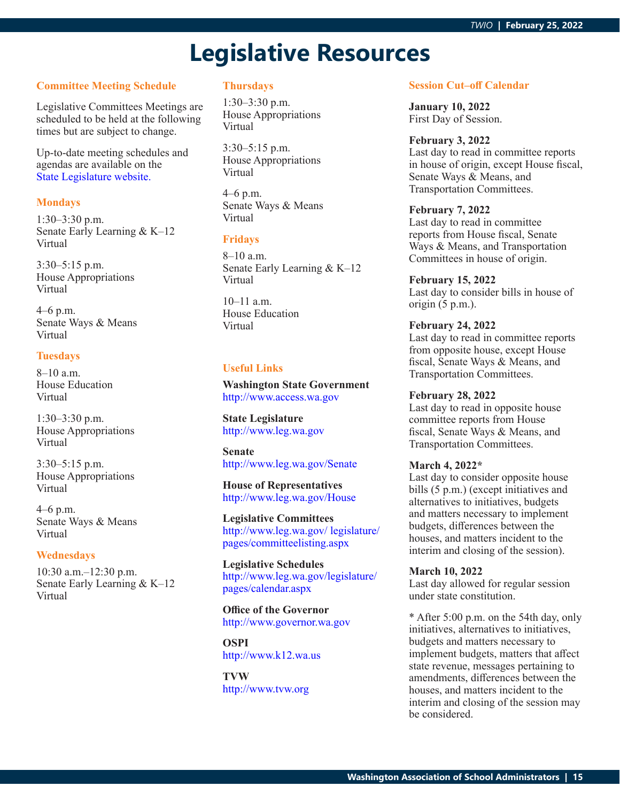## **Legislative Resources**

### **Committee Meeting Schedule**

Legislative Committees Meetings are scheduled to be held at the following times but are subject to change.

Up-to-date meeting schedules and agendas are available on the [State Legislature website.](http://www.leg.wa.gov/legislature/pages/calendar.aspx)

### **Mondays**

1:30–3:30 p.m. Senate Early Learning & K–12 Virtual

3:30–5:15 p.m. House Appropriations Virtual

4–6 p.m. Senate Ways & Means Virtual

### **Tuesdays**

8–10 a.m. House Education Virtual

1:30–3:30 p.m. House Appropriations Virtual

3:30–5:15 p.m. House Appropriations Virtual

4–6 p.m. Senate Ways & Means Virtual

#### **Wednesdays**

10:30 a.m.–12:30 p.m. Senate Early Learning & K–12 Virtual

### **Thursdays**

1:30–3:30 p.m. House Appropriations Virtual

3:30–5:15 p.m. House Appropriations Virtual

4–6 p.m. Senate Ways & Means Virtual

### **Fridays**

8–10 a.m. Senate Early Learning & K–12 Virtual

10–11 a.m. House Education Virtual

### **Useful Links**

**Washington State Government** <http://www.access.wa.gov>

**State Legislature** <http://www.leg.wa.gov>

**Senate** <http://www.leg.wa.gov/Senate>

**House of Representatives** <http://www.leg.wa.gov/House>

**Legislative Committees** [http://www.leg.wa.gov/ legislature/](http://www.leg.wa.gov/ legislature/pages/committeelisting.aspx) [pages/committeelisting.aspx](http://www.leg.wa.gov/ legislature/pages/committeelisting.aspx)

**Legislative Schedules** [http://www.leg.wa.gov/legislature/](http://www.leg.wa.gov/legislature/pages/calendar.aspx) [pages/calendar.aspx](http://www.leg.wa.gov/legislature/pages/calendar.aspx)

**Office of the Governor** <http://www.governor.wa.gov>

**OSPI** <http://www.k12.wa.us>

**TVW** <http://www.tvw.org>

#### **Session Cut–off Calendar**

**January 10, 2022** First Day of Session.

#### **February 3, 2022**

Last day to read in committee reports in house of origin, except House fiscal, Senate Ways & Means, and Transportation Committees.

#### **February 7, 2022**

Last day to read in committee reports from House fiscal, Senate Ways & Means, and Transportation Committees in house of origin.

### **February 15, 2022**

Last day to consider bills in house of origin (5 p.m.).

### **February 24, 2022**

Last day to read in committee reports from opposite house, except House fiscal, Senate Ways & Means, and Transportation Committees.

#### **February 28, 2022**

Last day to read in opposite house committee reports from House fiscal, Senate Ways & Means, and Transportation Committees.

#### **March 4, 2022\***

Last day to consider opposite house bills (5 p.m.) (except initiatives and alternatives to initiatives, budgets and matters necessary to implement budgets, differences between the houses, and matters incident to the interim and closing of the session).

#### **March 10, 2022**

Last day allowed for regular session under state constitution.

\* After 5:00 p.m. on the 54th day, only initiatives, alternatives to initiatives, budgets and matters necessary to implement budgets, matters that affect state revenue, messages pertaining to amendments, differences between the houses, and matters incident to the interim and closing of the session may be considered.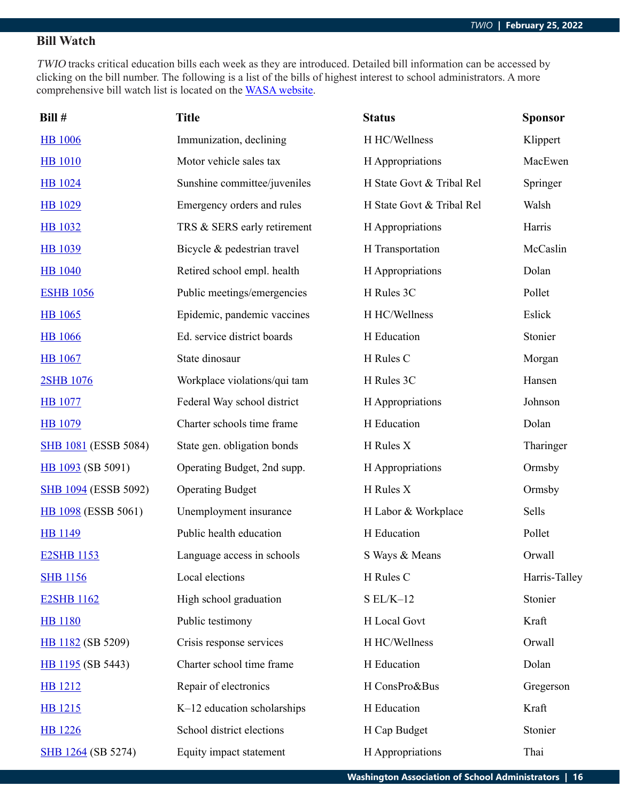### **Bill Watch**

TWIO tracks critical education bills each week as they are introduced. Detailed bill information can be accessed by clicking on the bill number. The following is a list of the bills of highest interest to school administrators. A more comprehensive bill watch list is located on the [WASA website](http://wasa-oly.org/wasa/WASA/Government_Relations/Action_Center/2019_WASA_Bill_Watch/WASA/4_0_Government_Relations/Materials/Bill_Watch/Bill_Watch.aspx?hkey=eee1bb39-a099-43b7-8a1b-1262f2966f1a).

| Bill #                      | <b>Title</b>                 | <b>Status</b>             | <b>Sponsor</b> |
|-----------------------------|------------------------------|---------------------------|----------------|
| <b>HB</b> 1006              | Immunization, declining      | H HC/Wellness             | Klippert       |
| <b>HB</b> 1010              | Motor vehicle sales tax      | H Appropriations          | MacEwen        |
| <b>HB</b> 1024              | Sunshine committee/juveniles | H State Govt & Tribal Rel | Springer       |
| <b>HB</b> 1029              | Emergency orders and rules   | H State Govt & Tribal Rel | Walsh          |
| <b>HB</b> 1032              | TRS & SERS early retirement  | H Appropriations          | Harris         |
| <b>HB</b> 1039              | Bicycle & pedestrian travel  | H Transportation          | McCaslin       |
| <b>HB</b> 1040              | Retired school empl. health  | H Appropriations          | Dolan          |
| <b>ESHB 1056</b>            | Public meetings/emergencies  | H Rules 3C                | Pollet         |
| HB 1065                     | Epidemic, pandemic vaccines  | H HC/Wellness             | Eslick         |
| <b>HB</b> 1066              | Ed. service district boards  | H Education               | Stonier        |
| <b>HB</b> 1067              | State dinosaur               | H Rules C                 | Morgan         |
| 2SHB 1076                   | Workplace violations/qui tam | H Rules 3C                | Hansen         |
| <b>HB</b> 1077              | Federal Way school district  | H Appropriations          | Johnson        |
| <b>HB</b> 1079              | Charter schools time frame   | H Education               | Dolan          |
| <b>SHB 1081 (ESSB 5084)</b> | State gen. obligation bonds  | H Rules X                 | Tharinger      |
| HB 1093 (SB 5091)           | Operating Budget, 2nd supp.  | H Appropriations          | Ormsby         |
| <b>SHB 1094 (ESSB 5092)</b> | <b>Operating Budget</b>      | H Rules X                 | Ormsby         |
| <b>HB 1098</b> (ESSB 5061)  | Unemployment insurance       | H Labor & Workplace       | Sells          |
| <b>HB</b> 1149              | Public health education      | H Education               | Pollet         |
| <b>E2SHB 1153</b>           | Language access in schools   | S Ways & Means            | Orwall         |
| <b>SHB</b> 1156             | Local elections              | H Rules C                 | Harris-Talley  |
| <b>E2SHB 1162</b>           | High school graduation       | $S EL/K-12$               | Stonier        |
| <b>HB</b> 1180              | Public testimony             | H Local Govt              | Kraft          |
| HB 1182 (SB 5209)           | Crisis response services     | H HC/Wellness             | Orwall         |
| HB 1195 (SB 5443)           | Charter school time frame    | H Education               | Dolan          |
| <b>HB</b> 1212              | Repair of electronics        | H ConsPro&Bus             | Gregerson      |
| HB 1215                     | K-12 education scholarships  | H Education               | Kraft          |
| <b>HB</b> 1226              | School district elections    | H Cap Budget              | Stonier        |
| SHB 1264 (SB 5274)          | Equity impact statement      | H Appropriations          | Thai           |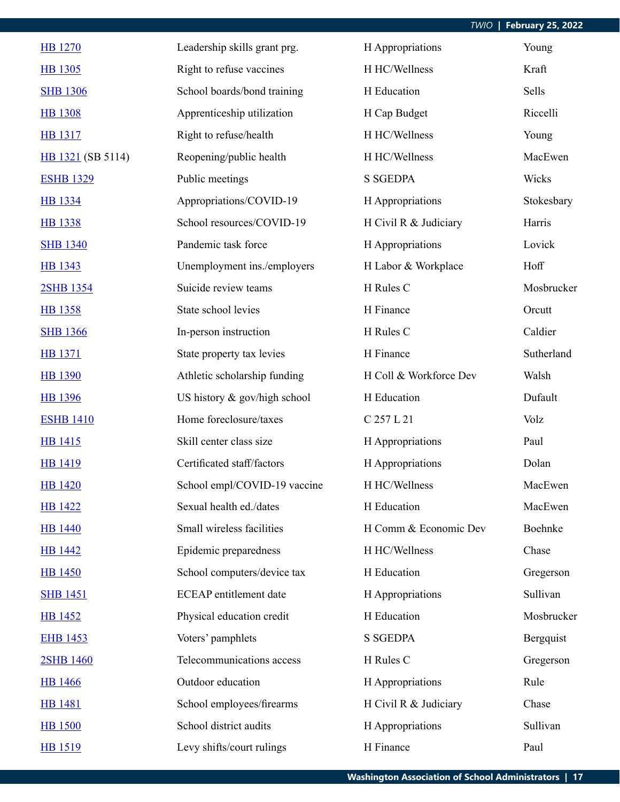| <b>HB</b> 1270    | Leadership skills grant prg.  | H Appropriations       | Young      |
|-------------------|-------------------------------|------------------------|------------|
| <b>HB 1305</b>    | Right to refuse vaccines      | H HC/Wellness          | Kraft      |
| <b>SHB 1306</b>   | School boards/bond training   | H Education            | Sells      |
| <b>HB</b> 1308    | Apprenticeship utilization    | H Cap Budget           | Riccelli   |
| <b>HB</b> 1317    | Right to refuse/health        | H HC/Wellness          | Young      |
| HB 1321 (SB 5114) | Reopening/public health       | H HC/Wellness          | MacEwen    |
| <b>ESHB 1329</b>  | Public meetings               | <b>S SGEDPA</b>        | Wicks      |
| HB 1334           | Appropriations/COVID-19       | H Appropriations       | Stokesbary |
| <b>HB</b> 1338    | School resources/COVID-19     | H Civil R & Judiciary  | Harris     |
| <b>SHB 1340</b>   | Pandemic task force           | H Appropriations       | Lovick     |
| HB 1343           | Unemployment ins./employers   | H Labor & Workplace    | Hoff       |
| 2SHB 1354         | Suicide review teams          | H Rules C              | Mosbrucker |
| <b>HB</b> 1358    | State school levies           | H Finance              | Orcutt     |
| <b>SHB 1366</b>   | In-person instruction         | H Rules C              | Caldier    |
| <b>HB</b> 1371    | State property tax levies     | H Finance              | Sutherland |
| <b>HB</b> 1390    | Athletic scholarship funding  | H Coll & Workforce Dev | Walsh      |
| HB 1396           | US history & gov/high school  | H Education            | Dufault    |
| <b>ESHB 1410</b>  | Home foreclosure/taxes        | C 257 L 21             | Volz       |
| <b>HB</b> 1415    | Skill center class size       | H Appropriations       | Paul       |
| <b>HB</b> 1419    | Certificated staff/factors    | H Appropriations       | Dolan      |
| <b>HB</b> 1420    | School empl/COVID-19 vaccine  | H HC/Wellness          | MacEwen    |
| <b>HB 1422</b>    | Sexual health ed./dates       | H Education            | MacEwen    |
| <b>HB</b> 1440    | Small wireless facilities     | H Comm & Economic Dev  | Boehnke    |
| <b>HB</b> 1442    | Epidemic preparedness         | H HC/Wellness          | Chase      |
| <b>HB</b> 1450    | School computers/device tax   | H Education            | Gregerson  |
| <b>SHB 1451</b>   | <b>ECEAP</b> entitlement date | H Appropriations       | Sullivan   |
| <b>HB</b> 1452    | Physical education credit     | H Education            | Mosbrucker |
| <b>EHB 1453</b>   | Voters' pamphlets             | <b>S SGEDPA</b>        | Bergquist  |
| 2SHB 1460         | Telecommunications access     | H Rules C              | Gregerson  |
| <b>HB</b> 1466    | Outdoor education             | H Appropriations       | Rule       |
| <b>HB</b> 1481    | School employees/firearms     | H Civil R & Judiciary  | Chase      |
| <b>HB 1500</b>    | School district audits        | H Appropriations       | Sullivan   |
| HB 1519           | Levy shifts/court rulings     | H Finance              | Paul       |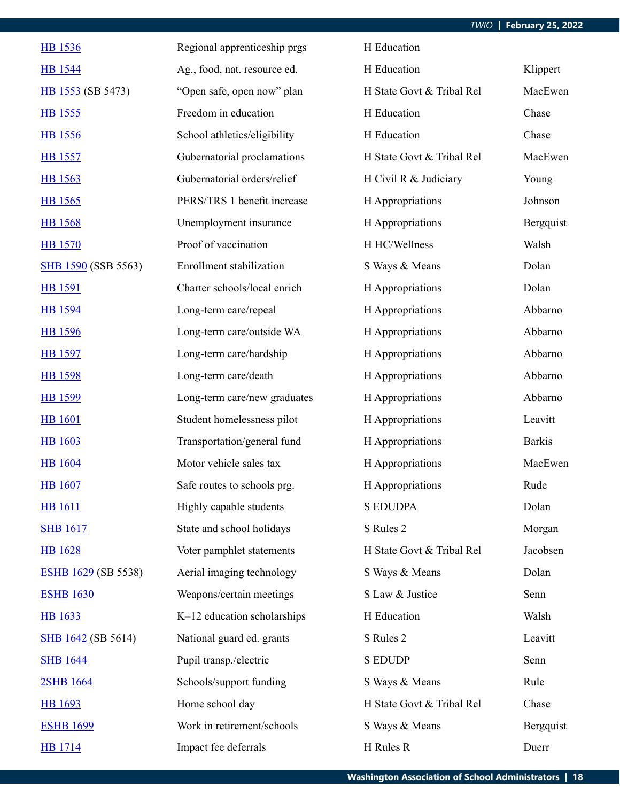| <b>HB</b> 1536             | Regional apprenticeship prgs    | H Education               |               |
|----------------------------|---------------------------------|---------------------------|---------------|
| <b>HB</b> 1544             | Ag., food, nat. resource ed.    | H Education               | Klippert      |
| HB 1553 (SB 5473)          | "Open safe, open now" plan      | H State Govt & Tribal Rel | MacEwen       |
| <b>HB</b> 1555             | Freedom in education            | H Education               | Chase         |
| <b>HB</b> 1556             | School athletics/eligibility    | H Education               | Chase         |
| <b>HB</b> 1557             | Gubernatorial proclamations     | H State Govt & Tribal Rel | MacEwen       |
| HB 1563                    | Gubernatorial orders/relief     | H Civil R & Judiciary     | Young         |
| HB 1565                    | PERS/TRS 1 benefit increase     | H Appropriations          | Johnson       |
| <b>HB</b> 1568             | Unemployment insurance          | H Appropriations          | Bergquist     |
| <b>HB</b> 1570             | Proof of vaccination            | H HC/Wellness             | Walsh         |
| SHB 1590 (SSB 5563)        | <b>Enrollment</b> stabilization | S Ways & Means            | Dolan         |
| <b>HB</b> 1591             | Charter schools/local enrich    | H Appropriations          | Dolan         |
| HB 1594                    | Long-term care/repeal           | H Appropriations          | Abbarno       |
| <b>HB</b> 1596             | Long-term care/outside WA       | H Appropriations          | Abbarno       |
| <b>HB</b> 1597             | Long-term care/hardship         | H Appropriations          | Abbarno       |
| <b>HB</b> 1598             | Long-term care/death            | H Appropriations          | Abbarno       |
| HB 1599                    | Long-term care/new graduates    | H Appropriations          | Abbarno       |
| <b>HB</b> 1601             | Student homelessness pilot      | H Appropriations          | Leavitt       |
| <b>HB</b> 1603             | Transportation/general fund     | H Appropriations          | <b>Barkis</b> |
| <b>HB</b> 1604             | Motor vehicle sales tax         | H Appropriations          | MacEwen       |
| <b>HB</b> 1607             | Safe routes to schools prg.     | H Appropriations          | Rude          |
| <b>HB</b> 1611             | Highly capable students         | <b>S EDUDPA</b>           | Dolan         |
| <b>SHB 1617</b>            | State and school holidays       | S Rules 2                 | Morgan        |
| <b>HB</b> 1628             | Voter pamphlet statements       | H State Govt & Tribal Rel | Jacobsen      |
| <b>ESHB 1629 (SB 5538)</b> | Aerial imaging technology       | S Ways & Means            | Dolan         |
| <b>ESHB 1630</b>           | Weapons/certain meetings        | S Law & Justice           | Senn          |
| <b>HB</b> 1633             | K-12 education scholarships     | H Education               | Walsh         |
| <b>SHB</b> 1642 (SB 5614)  | National guard ed. grants       | S Rules 2                 | Leavitt       |
| <b>SHB 1644</b>            | Pupil transp./electric          | <b>S EDUDP</b>            | Senn          |
| 2SHB 1664                  | Schools/support funding         | S Ways & Means            | Rule          |
| HB 1693                    | Home school day                 | H State Govt & Tribal Rel | Chase         |
| <b>ESHB 1699</b>           | Work in retirement/schools      | S Ways & Means            | Bergquist     |
| <b>HB</b> 1714             | Impact fee deferrals            | H Rules R                 | Duerr         |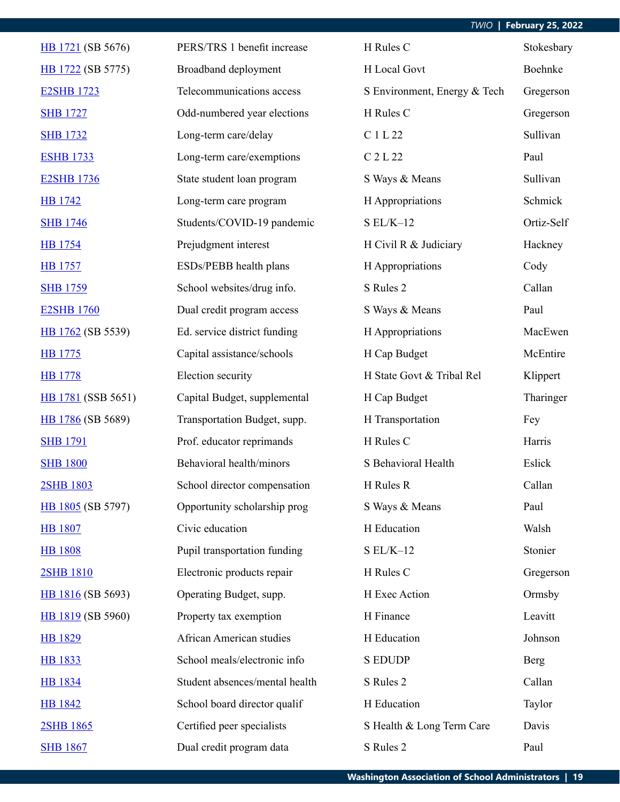| HB 1721 (SB 5676)  | PERS/TRS 1 benefit increase    | H Rules C                    | Stokesbary  |
|--------------------|--------------------------------|------------------------------|-------------|
| HB 1722 (SB 5775)  | Broadband deployment           | H Local Govt                 | Boehnke     |
| <b>E2SHB 1723</b>  | Telecommunications access      | S Environment, Energy & Tech | Gregerson   |
| <b>SHB 1727</b>    | Odd-numbered year elections    | H Rules C                    | Gregerson   |
| <b>SHB 1732</b>    | Long-term care/delay           | C 1 L 22                     | Sullivan    |
| <b>ESHB 1733</b>   | Long-term care/exemptions      | C 2 L 22                     | Paul        |
| <b>E2SHB 1736</b>  | State student loan program     | S Ways & Means               | Sullivan    |
| <b>HB</b> 1742     | Long-term care program         | H Appropriations             | Schmick     |
| <b>SHB 1746</b>    | Students/COVID-19 pandemic     | $SL/K-12$                    | Ortiz-Self  |
| <b>HB</b> 1754     | Prejudgment interest           | H Civil R & Judiciary        | Hackney     |
| <b>HB</b> 1757     | ESDs/PEBB health plans         | H Appropriations             | Cody        |
| <b>SHB 1759</b>    | School websites/drug info.     | S Rules 2                    | Callan      |
| <b>E2SHB 1760</b>  | Dual credit program access     | S Ways & Means               | Paul        |
| HB 1762 (SB 5539)  | Ed. service district funding   | H Appropriations             | MacEwen     |
| HB 1775            | Capital assistance/schools     | H Cap Budget                 | McEntire    |
| <b>HB</b> 1778     | Election security              | H State Govt & Tribal Rel    | Klippert    |
| HB 1781 (SSB 5651) | Capital Budget, supplemental   | H Cap Budget                 | Tharinger   |
| HB 1786 (SB 5689)  | Transportation Budget, supp.   | H Transportation             | Fey         |
| <b>SHB 1791</b>    | Prof. educator reprimands      | H Rules C                    | Harris      |
| <b>SHB 1800</b>    | Behavioral health/minors       | S Behavioral Health          | Eslick      |
| 2SHB 1803          | School director compensation   | H Rules R                    | Callan      |
| HB 1805 (SB 5797)  | Opportunity scholarship prog   | S Ways & Means               | Paul        |
| <b>HB</b> 1807     | Civic education                | H Education                  | Walsh       |
| <b>HB 1808</b>     | Pupil transportation funding   | $SL/K-12$                    | Stonier     |
| 2SHB 1810          | Electronic products repair     | H Rules C                    | Gregerson   |
| HB 1816 (SB 5693)  | Operating Budget, supp.        | H Exec Action                | Ormsby      |
| HB 1819 (SB 5960)  | Property tax exemption         | H Finance                    | Leavitt     |
| <b>HB</b> 1829     | African American studies       | H Education                  | Johnson     |
| <b>HB</b> 1833     | School meals/electronic info   | <b>S EDUDP</b>               | <b>Berg</b> |
| <b>HB</b> 1834     | Student absences/mental health | S Rules 2                    | Callan      |
| <b>HB</b> 1842     | School board director qualif   | H Education                  | Taylor      |
| 2SHB 1865          | Certified peer specialists     | S Health & Long Term Care    | Davis       |
| <b>SHB 1867</b>    | Dual credit program data       | S Rules 2                    | Paul        |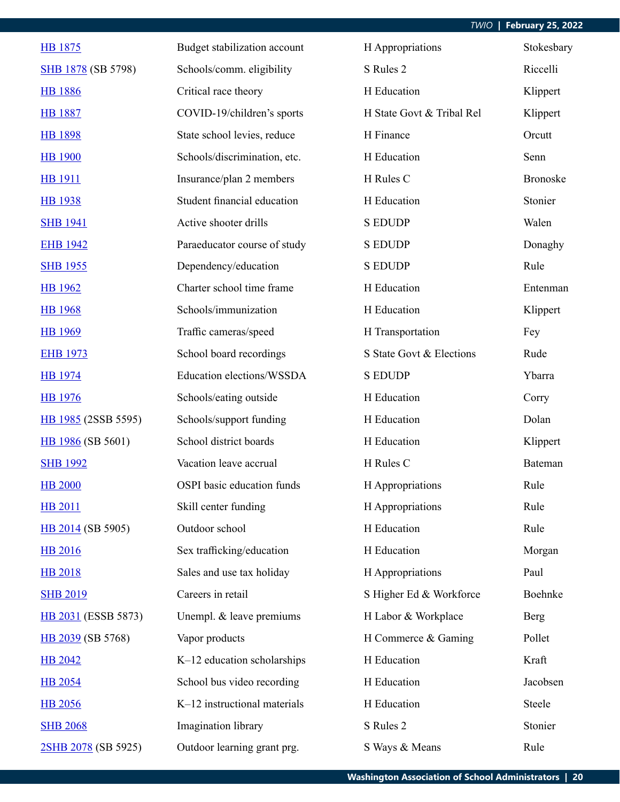| HB 1875             | Budget stabilization account | H Appropriations          | Stokesbary      |
|---------------------|------------------------------|---------------------------|-----------------|
| SHB 1878 (SB 5798)  | Schools/comm. eligibility    | S Rules 2                 | Riccelli        |
| <b>HB</b> 1886      | Critical race theory         | H Education               | Klippert        |
| <b>HB</b> 1887      | COVID-19/children's sports   | H State Govt & Tribal Rel | Klippert        |
| <b>HB 1898</b>      | State school levies, reduce  | H Finance                 | Orcutt          |
| <b>HB</b> 1900      | Schools/discrimination, etc. | H Education               | Senn            |
| <b>HB</b> 1911      | Insurance/plan 2 members     | H Rules C                 | <b>Bronoske</b> |
| <b>HB</b> 1938      | Student financial education  | H Education               | Stonier         |
| <b>SHB 1941</b>     | Active shooter drills        | <b>S EDUDP</b>            | Walen           |
| <b>EHB 1942</b>     | Paraeducator course of study | <b>S EDUDP</b>            | Donaghy         |
| <b>SHB 1955</b>     | Dependency/education         | <b>S EDUDP</b>            | Rule            |
| <b>HB</b> 1962      | Charter school time frame    | H Education               | Entenman        |
| <b>HB</b> 1968      | Schools/immunization         | H Education               | Klippert        |
| <b>HB</b> 1969      | Traffic cameras/speed        | H Transportation          | Fey             |
| <b>EHB 1973</b>     | School board recordings      | S State Govt & Elections  | Rude            |
| <b>HB</b> 1974      | Education elections/WSSDA    | <b>S EDUDP</b>            | Ybarra          |
| <b>HB</b> 1976      | Schools/eating outside       | H Education               | Corry           |
| HB 1985 (2SSB 5595) | Schools/support funding      | H Education               | Dolan           |
| HB 1986 (SB 5601)   | School district boards       | H Education               | Klippert        |
| <b>SHB 1992</b>     | Vacation leave accrual       | H Rules C                 | Bateman         |
| <b>HB 2000</b>      | OSPI basic education funds   | H Appropriations          | Rule            |
| <b>HB 2011</b>      | Skill center funding         | H Appropriations          | Rule            |
| HB 2014 (SB 5905)   | Outdoor school               | H Education               | Rule            |
| <b>HB 2016</b>      | Sex trafficking/education    | H Education               | Morgan          |
| <b>HB 2018</b>      | Sales and use tax holiday    | H Appropriations          | Paul            |
| <b>SHB 2019</b>     | Careers in retail            | S Higher Ed & Workforce   | Boehnke         |
| HB 2031 (ESSB 5873) | Unempl. & leave premiums     | H Labor & Workplace       | Berg            |
| HB 2039 (SB 5768)   | Vapor products               | H Commerce & Gaming       | Pollet          |
| <b>HB 2042</b>      | K-12 education scholarships  | H Education               | Kraft           |
| <b>HB 2054</b>      | School bus video recording   | H Education               | Jacobsen        |
| <b>HB</b> 2056      | K-12 instructional materials | H Education               | Steele          |
| <b>SHB 2068</b>     | Imagination library          | S Rules 2                 | Stonier         |
| 2SHB 2078 (SB 5925) | Outdoor learning grant prg.  | S Ways & Means            | Rule            |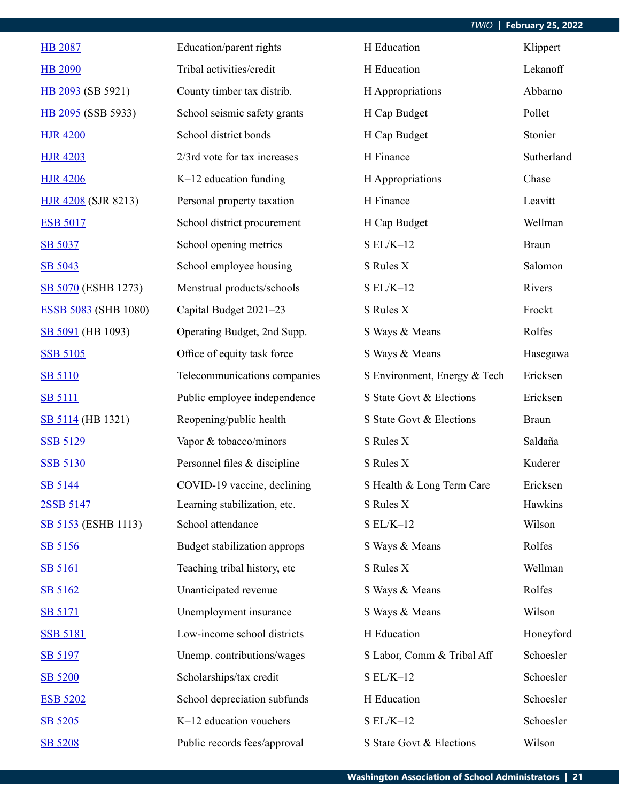| <b>HB 2087</b>              | Education/parent rights      | H Education                  | Klippert     |
|-----------------------------|------------------------------|------------------------------|--------------|
| <b>HB 2090</b>              | Tribal activities/credit     | H Education                  | Lekanoff     |
| HB 2093 (SB 5921)           | County timber tax distrib.   | H Appropriations             | Abbarno      |
| HB 2095 (SSB 5933)          | School seismic safety grants | H Cap Budget                 | Pollet       |
| <b>HJR 4200</b>             | School district bonds        | H Cap Budget                 | Stonier      |
| <b>HJR 4203</b>             | 2/3rd vote for tax increases | H Finance                    | Sutherland   |
| <b>HJR 4206</b>             | $K-12$ education funding     | H Appropriations             | Chase        |
| <b>HJR 4208</b> (SJR 8213)  | Personal property taxation   | H Finance                    | Leavitt      |
| <b>ESB 5017</b>             | School district procurement  | H Cap Budget                 | Wellman      |
| SB 5037                     | School opening metrics       | $SL/K-12$                    | <b>Braun</b> |
| SB 5043                     | School employee housing      | S Rules X                    | Salomon      |
| SB 5070 (ESHB 1273)         | Menstrual products/schools   | $SL/K-12$                    | Rivers       |
| <b>ESSB 5083</b> (SHB 1080) | Capital Budget 2021-23       | S Rules X                    | Frockt       |
| SB 5091 (HB 1093)           | Operating Budget, 2nd Supp.  | S Ways & Means               | Rolfes       |
| <b>SSB 5105</b>             | Office of equity task force  | S Ways & Means               | Hasegawa     |
| <b>SB 5110</b>              | Telecommunications companies | S Environment, Energy & Tech | Ericksen     |
| <b>SB 5111</b>              | Public employee independence | S State Govt & Elections     | Ericksen     |
| SB 5114 (HB 1321)           | Reopening/public health      | S State Govt & Elections     | <b>Braun</b> |
| <b>SSB 5129</b>             | Vapor & tobacco/minors       | S Rules X                    | Saldaña      |
| <b>SSB 5130</b>             | Personnel files & discipline | S Rules X                    | Kuderer      |
| SB 5144                     | COVID-19 vaccine, declining  | S Health & Long Term Care    | Ericksen     |
| 2SSB 5147                   | Learning stabilization, etc. | S Rules X                    | Hawkins      |
| <b>SB 5153</b> (ESHB 1113)  | School attendance            | $SL/K-12$                    | Wilson       |
| SB 5156                     | Budget stabilization approps | S Ways & Means               | Rolfes       |
| <b>SB 5161</b>              | Teaching tribal history, etc | S Rules X                    | Wellman      |
| SB 5162                     | Unanticipated revenue        | S Ways & Means               | Rolfes       |
| <b>SB 5171</b>              | Unemployment insurance       | S Ways & Means               | Wilson       |
| <b>SSB 5181</b>             | Low-income school districts  | H Education                  | Honeyford    |
| SB 5197                     | Unemp. contributions/wages   | S Labor, Comm & Tribal Aff   | Schoesler    |
| SB 5200                     | Scholarships/tax credit      | $SL/K-12$                    | Schoesler    |
| <b>ESB 5202</b>             | School depreciation subfunds | H Education                  | Schoesler    |
| SB 5205                     | K-12 education vouchers      | $SL/K-12$                    | Schoesler    |
| SB 5208                     | Public records fees/approval | S State Govt & Elections     | Wilson       |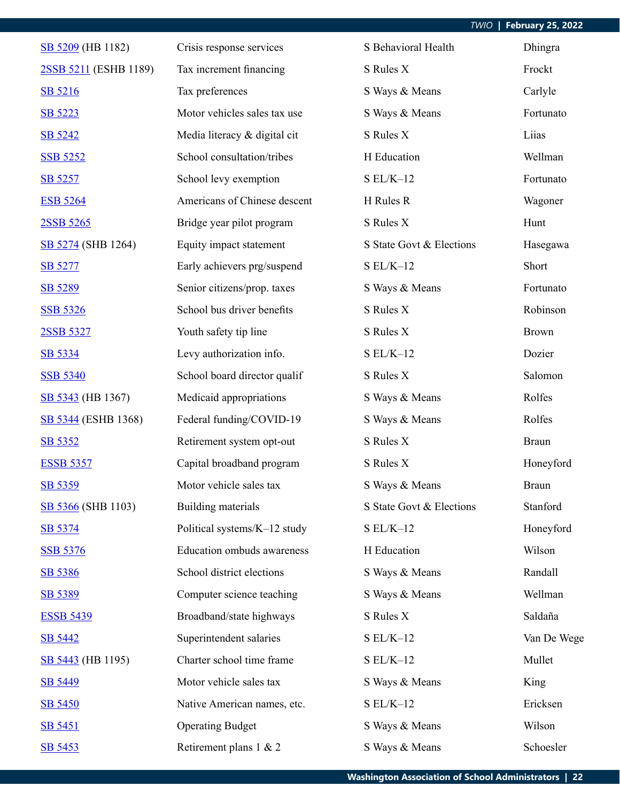| SB 5209 (HB 1182)         | Crisis response services     | S Behavioral Health      | Dhingra      |
|---------------------------|------------------------------|--------------------------|--------------|
| 2SSB 5211 (ESHB 1189)     | Tax increment financing      | S Rules X                | Frockt       |
| SB 5216                   | Tax preferences              | S Ways & Means           | Carlyle      |
| SB 5223                   | Motor vehicles sales tax use | S Ways & Means           | Fortunato    |
| SB 5242                   | Media literacy & digital cit | S Rules X                | Liias        |
| <b>SSB 5252</b>           | School consultation/tribes   | H Education              | Wellman      |
| SB 5257                   | School levy exemption        | $S EL/K-12$              | Fortunato    |
| <b>ESB 5264</b>           | Americans of Chinese descent | H Rules R                | Wagoner      |
| 2SSB 5265                 | Bridge year pilot program    | S Rules X                | Hunt         |
| SB 5274 (SHB 1264)        | Equity impact statement      | S State Govt & Elections | Hasegawa     |
| SB 5277                   | Early achievers prg/suspend  | $S EL/K-12$              | Short        |
| SB 5289                   | Senior citizens/prop. taxes  | S Ways & Means           | Fortunato    |
| <b>SSB 5326</b>           | School bus driver benefits   | S Rules X                | Robinson     |
| 2SSB 5327                 | Youth safety tip line        | S Rules X                | <b>Brown</b> |
| SB 5334                   | Levy authorization info.     | $S EL/K-12$              | Dozier       |
| <b>SSB 5340</b>           | School board director qualif | S Rules X                | Salomon      |
| SB 5343 (HB 1367)         | Medicaid appropriations      | S Ways & Means           | Rolfes       |
| SB 5344 (ESHB 1368)       | Federal funding/COVID-19     | S Ways & Means           | Rolfes       |
| SB 5352                   | Retirement system opt-out    | S Rules X                | <b>Braun</b> |
| <b>ESSB 5357</b>          | Capital broadband program    | S Rules X                | Honeyford    |
| SB 5359                   | Motor vehicle sales tax      | S Ways & Means           | <b>Braun</b> |
| <b>SB 5366</b> (SHB 1103) | Building materials           | S State Govt & Elections | Stanford     |
| SB 5374                   | Political systems/K-12 study | $SL/K-12$                | Honeyford    |
| <b>SSB 5376</b>           | Education ombuds awareness   | H Education              | Wilson       |
| SB 5386                   | School district elections    | S Ways & Means           | Randall      |
| SB 5389                   | Computer science teaching    | S Ways & Means           | Wellman      |
| <b>ESSB 5439</b>          | Broadband/state highways     | S Rules X                | Saldaña      |
| SB 5442                   | Superintendent salaries      | $S EL/K-12$              | Van De Wege  |
| SB 5443 (HB 1195)         | Charter school time frame    | $S EL/K-12$              | Mullet       |
| SB 5449                   | Motor vehicle sales tax      | S Ways & Means           | King         |
| <b>SB 5450</b>            | Native American names, etc.  | $SL/K-12$                | Ericksen     |
| SB 5451                   | <b>Operating Budget</b>      | S Ways & Means           | Wilson       |
| SB 5453                   | Retirement plans 1 & 2       | S Ways & Means           | Schoesler    |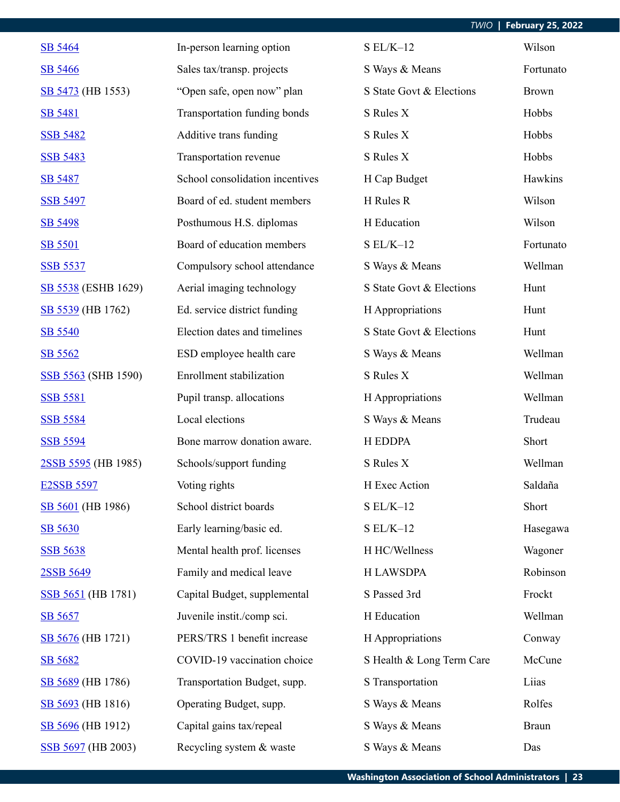| SB 5464                    | In-person learning option       | $S EL/K-12$               | Wilson       |
|----------------------------|---------------------------------|---------------------------|--------------|
| SB 5466                    | Sales tax/transp. projects      | S Ways & Means            | Fortunato    |
| SB 5473 (HB 1553)          | "Open safe, open now" plan      | S State Govt & Elections  | <b>Brown</b> |
| <b>SB 5481</b>             | Transportation funding bonds    | S Rules X                 | Hobbs        |
| <b>SSB 5482</b>            | Additive trans funding          | S Rules X                 | Hobbs        |
| <b>SSB 5483</b>            | Transportation revenue          | S Rules X                 | Hobbs        |
| <b>SB 5487</b>             | School consolidation incentives | H Cap Budget              | Hawkins      |
| <b>SSB 5497</b>            | Board of ed. student members    | H Rules R                 | Wilson       |
| SB 5498                    | Posthumous H.S. diplomas        | H Education               | Wilson       |
| <b>SB 5501</b>             | Board of education members      | $S EL/K-12$               | Fortunato    |
| <b>SSB 5537</b>            | Compulsory school attendance    | S Ways & Means            | Wellman      |
| SB 5538 (ESHB 1629)        | Aerial imaging technology       | S State Govt & Elections  | Hunt         |
| SB 5539 (HB 1762)          | Ed. service district funding    | H Appropriations          | Hunt         |
| SB 5540                    | Election dates and timelines    | S State Govt & Elections  | Hunt         |
| SB 5562                    | ESD employee health care        | S Ways & Means            | Wellman      |
| <b>SSB 5563</b> (SHB 1590) | Enrollment stabilization        | S Rules X                 | Wellman      |
| <b>SSB 5581</b>            | Pupil transp. allocations       | H Appropriations          | Wellman      |
| <b>SSB 5584</b>            | Local elections                 | S Ways & Means            | Trudeau      |
| <b>SSB 5594</b>            | Bone marrow donation aware.     | H EDDPA                   | Short        |
| 2SSB 5595 (HB 1985)        | Schools/support funding         | S Rules X                 | Wellman      |
| <b>E2SSB 5597</b>          | Voting rights                   | H Exec Action             | Saldaña      |
| SB 5601 (HB 1986)          | School district boards          | $SL/K-12$                 | Short        |
| SB 5630                    | Early learning/basic ed.        | $SL/K-12$                 | Hasegawa     |
| <b>SSB 5638</b>            | Mental health prof. licenses    | H HC/Wellness             | Wagoner      |
| 2SSB 5649                  | Family and medical leave        | <b>H LAWSDPA</b>          | Robinson     |
| SSB 5651 (HB 1781)         | Capital Budget, supplemental    | S Passed 3rd              | Frockt       |
| SB 5657                    | Juvenile instit./comp sci.      | H Education               | Wellman      |
| SB 5676 (HB 1721)          | PERS/TRS 1 benefit increase     | H Appropriations          | Conway       |
| SB 5682                    | COVID-19 vaccination choice     | S Health & Long Term Care | McCune       |
| SB 5689 (HB 1786)          | Transportation Budget, supp.    | S Transportation          | Liias        |
| SB 5693 (HB 1816)          | Operating Budget, supp.         | S Ways & Means            | Rolfes       |
| SB 5696 (HB 1912)          | Capital gains tax/repeal        | S Ways & Means            | <b>Braun</b> |
| SSB 5697 (HB 2003)         | Recycling system & waste        | S Ways & Means            | Das          |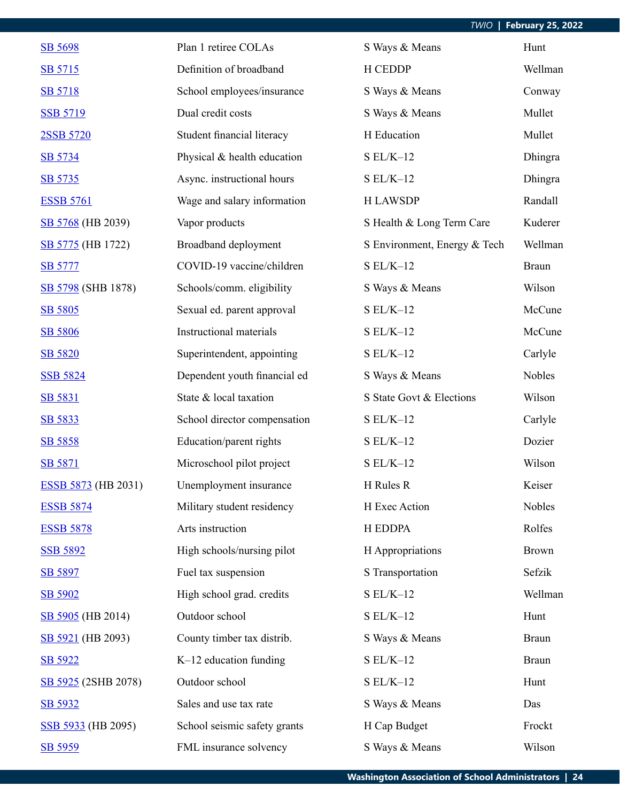| SB 5698                    | Plan 1 retiree COLAs         | S Ways & Means               | Hunt          |
|----------------------------|------------------------------|------------------------------|---------------|
| SB 5715                    | Definition of broadband      | <b>H CEDDP</b>               | Wellman       |
| SB 5718                    | School employees/insurance   | S Ways & Means               | Conway        |
| <b>SSB 5719</b>            | Dual credit costs            | S Ways & Means               | Mullet        |
| 2SSB 5720                  | Student financial literacy   | H Education                  | Mullet        |
| SB 5734                    | Physical & health education  | $S EL/K-12$                  | Dhingra       |
| SB 5735                    | Async. instructional hours   | $S EL/K-12$                  | Dhingra       |
| <b>ESSB 5761</b>           | Wage and salary information  | <b>H LAWSDP</b>              | Randall       |
| SB 5768 (HB 2039)          | Vapor products               | S Health & Long Term Care    | Kuderer       |
| SB 5775 (HB 1722)          | Broadband deployment         | S Environment, Energy & Tech | Wellman       |
| <b>SB 5777</b>             | COVID-19 vaccine/children    | $S EL/K-12$                  | <b>Braun</b>  |
| SB 5798 (SHB 1878)         | Schools/comm. eligibility    | S Ways & Means               | Wilson        |
| SB 5805                    | Sexual ed. parent approval   | $S EL/K-12$                  | McCune        |
| SB 5806                    | Instructional materials      | $S EL/K-12$                  | McCune        |
| SB 5820                    | Superintendent, appointing   | $S EL/K-12$                  | Carlyle       |
| <b>SSB 5824</b>            | Dependent youth financial ed | S Ways & Means               | <b>Nobles</b> |
| SB 5831                    | State & local taxation       | S State Govt & Elections     | Wilson        |
| SB 5833                    | School director compensation | $S EL/K-12$                  | Carlyle       |
| SB 5858                    | Education/parent rights      | $SL/K-12$                    | Dozier        |
| SB 5871                    | Microschool pilot project    | $S EL/K-12$                  | Wilson        |
| <b>ESSB 5873</b> (HB 2031) | Unemployment insurance       | H Rules R                    | Keiser        |
| <b>ESSB 5874</b>           | Military student residency   | H Exec Action                | Nobles        |
| <b>ESSB 5878</b>           | Arts instruction             | H EDDPA                      | Rolfes        |
| <b>SSB 5892</b>            | High schools/nursing pilot   | H Appropriations             | <b>Brown</b>  |
| SB 5897                    | Fuel tax suspension          | S Transportation             | Sefzik        |
| SB 5902                    | High school grad. credits    | $S EL/K-12$                  | Wellman       |
| SB 5905 (HB 2014)          | Outdoor school               | $S EL/K-12$                  | Hunt          |
| SB 5921 (HB 2093)          | County timber tax distrib.   | S Ways & Means               | <b>Braun</b>  |
| SB 5922                    | K-12 education funding       | $S EL/K-12$                  | <b>Braun</b>  |
| SB 5925 (2SHB 2078)        | Outdoor school               | $S EL/K-12$                  | Hunt          |
| SB 5932                    | Sales and use tax rate       | S Ways & Means               | Das           |
| SSB 5933 (HB 2095)         | School seismic safety grants | H Cap Budget                 | Frockt        |
| SB 5959                    | FML insurance solvency       | S Ways & Means               | Wilson        |